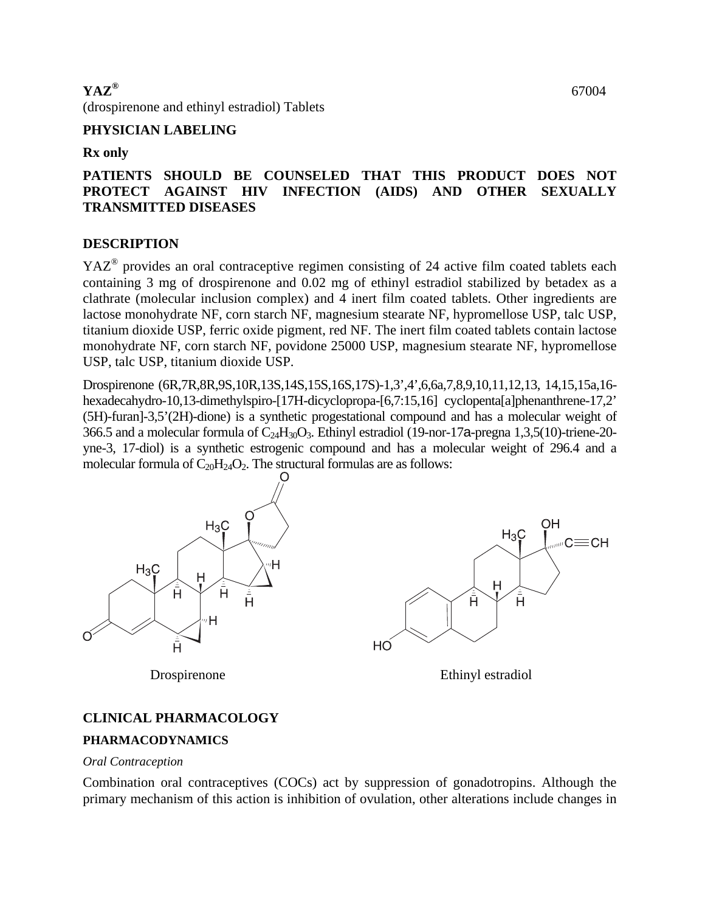# **YAZ®**  (drospirenone and ethinyl estradiol) Tablets

## **PHYSICIAN LABELING**

## **Rx only**

#### **PATIENTS SHOULD BE COUNSELED THAT THIS PRODUCT DOES NOT PROTECT AGAINST HIV INFECTION (AIDS) AND TRANSMITTED DISEASES OTHER SEXUALLY**

## **DESCRIPTION**

YAZ® provides an oral contraceptive regimen consisting of 24 active film coated tablets each containing 3 mg of drospirenone and 0.02 mg of ethinyl estradiol stabilized by betadex as a clathrate (molecular inclusion complex) and 4 inert film coated tablets. Other ingredients are lactose monohydrate NF, corn starch NF, magnesium stearate NF, hypromellose USP, talc USP, titanium dioxide USP, ferric oxide pigment, red NF. The inert film coated tablets contain lactose monohydrate NF, corn starch NF, povidone 25000 USP, magnesium stearate NF, hypromellose USP, talc USP, titanium dioxide USP.

Drospirenone (6R,7R,8R,9S,10R,13S,14S,15S,16S,17S)-1,3',4',6,6a,7,8,9,10,11,12,13, 14,15,15a,16 hexadecahydro-10,13-dimethylspiro-[17H-dicyclopropa-[6,7:15,16] cyclopenta[a]phenanthrene-17,2' (5H)-furan]-3,5'(2H)-dione) is a synthetic progestational compound and has a molecular weight of 366.5 and a molecular formula of  $C_{24}H_{30}O_3$ . Ethinyl estradiol (19-nor-17a-pregna 1,3,5(10)-triene-20yne-3, 17-diol) is a synthetic estrogenic compound and has a molecular weight of 296.4 and a molecular formula of  $C_{20}H_{24}O_2$ . The structural formulas are as follows:



Drospirenone Ethinyl estradiol

# **CLINICAL PHARMACOLOGY PHARMACODYNAMICS**

#### *Oral Contraception*

Combination oral contraceptives (COCs) act by suppression of gonadotropins. Although the primary mechanism of this action is inhibition of ovulation, other alterations include changes in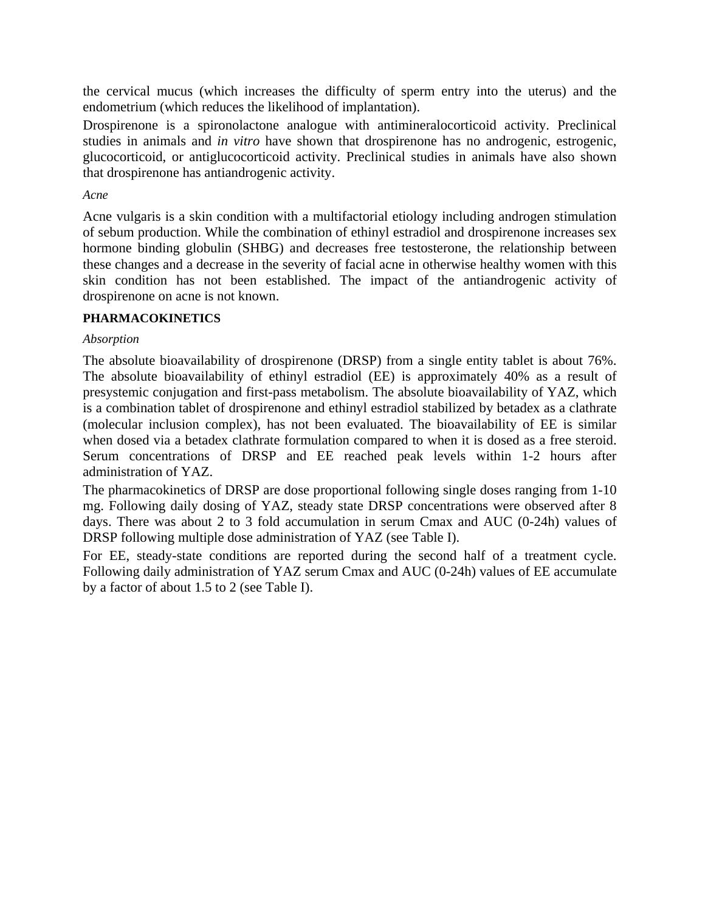the cervical mucus (which increases the difficulty of sperm entry into the uterus) and the endometrium (which reduces the likelihood of implantation).

Drospirenone is a spironolactone analogue with antimineralocorticoid activity. Preclinical studies in animals and *in vitro* have shown that drospirenone has no androgenic, estrogenic, glucocorticoid, or antiglucocorticoid activity. Preclinical studies in animals have also shown that drospirenone has antiandrogenic activity.

*Acne* 

Acne vulgaris is a skin condition with a multifactorial etiology including androgen stimulation of sebum production. While the combination of ethinyl estradiol and drospirenone increases sex hormone binding globulin (SHBG) and decreases free testosterone, the relationship between these changes and a decrease in the severity of facial acne in otherwise healthy women with this skin condition has not been established. The impact of the antiandrogenic activity of drospirenone on acne is not known.

### **PHARMACOKINETICS**

### *Absorption*

The absolute bioavailability of drospirenone (DRSP) from a single entity tablet is about 76%. The absolute bioavailability of ethinyl estradiol (EE) is approximately 40% as a result of presystemic conjugation and first-pass metabolism. The absolute bioavailability of YAZ, which is a combination tablet of drospirenone and ethinyl estradiol stabilized by betadex as a clathrate (molecular inclusion complex), has not been evaluated. The bioavailability of EE is similar when dosed via a betadex clathrate formulation compared to when it is dosed as a free steroid. Serum concentrations of DRSP and EE reached peak levels within 1-2 hours after administration of YAZ.

The pharmacokinetics of DRSP are dose proportional following single doses ranging from 1-10 mg. Following daily dosing of YAZ, steady state DRSP concentrations were observed after 8 days. There was about 2 to 3 fold accumulation in serum Cmax and AUC (0-24h) values of DRSP following multiple dose administration of YAZ (see Table I).

For EE, steady-state conditions are reported during the second half of a treatment cycle. Following daily administration of YAZ serum Cmax and AUC (0-24h) values of EE accumulate by a factor of about 1.5 to 2 (see Table I).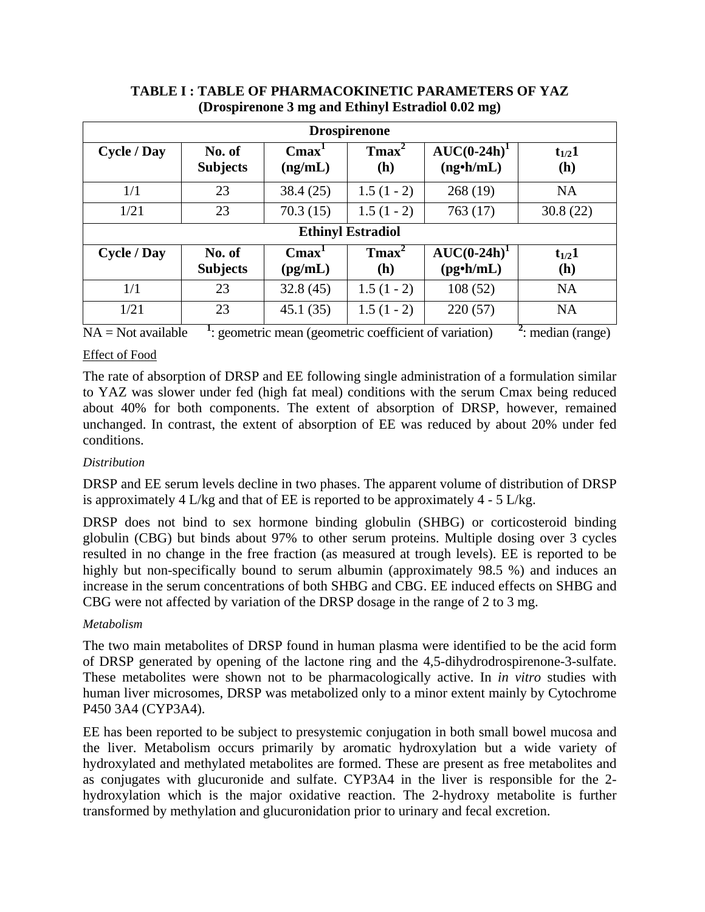| <b>Drospirenone</b> |                           |                                         |                          |                                    |                   |  |  |  |
|---------------------|---------------------------|-----------------------------------------|--------------------------|------------------------------------|-------------------|--|--|--|
| <b>Cycle</b> / Day  | No. of<br><b>Subjects</b> | Cmax <sup>1</sup><br>(ng/mL)            | Tmax <sup>2</sup><br>(h) | $AUC(0-24h)^T$<br>$(ng\cdot h/mL)$ | $t_{1/2}1$<br>(h) |  |  |  |
| 1/1                 | 23                        | 38.4 (25)                               | $1.5(1-2)$               | 268(19)                            | <b>NA</b>         |  |  |  |
| 1/21                | 23                        | 70.3(15)                                | $1.5(1-2)$               | 763(17)                            | 30.8(22)          |  |  |  |
|                     | <b>Ethinyl Estradiol</b>  |                                         |                          |                                    |                   |  |  |  |
| <b>Cycle</b> / Day  | No. of<br><b>Subjects</b> | Cmax <sup>1</sup><br>$\textbf{(pg/mL)}$ | Tmax <sup>2</sup><br>(h) | $AUC(0-24h)^1$<br>$(pg\cdot h/mL)$ | $t_{1/2}1$<br>(h) |  |  |  |
| 1/1                 | 23                        | 32.8(45)                                | $1.5(1-2)$               | 108(52)                            | <b>NA</b>         |  |  |  |
| 1/21                | 23                        | 45.1(35)                                | $1.5(1-2)$               | 220(57)                            | <b>NA</b>         |  |  |  |

**TABLE I : TABLE OF PHARMACOKINETIC PARAMETERS OF YAZ (Drospirenone 3 mg and Ethinyl Estradiol 0.02 mg)** 

 $NA = Not available$ <sup>1</sup>: geometric mean (geometric coefficient of variation)  $\frac{2}{x}$ : median (range)

## Effect of Food

The rate of absorption of DRSP and EE following single administration of a formulation similar to YAZ was slower under fed (high fat meal) conditions with the serum Cmax being reduced about 40% for both components. The extent of absorption of DRSP, however, remained unchanged. In contrast, the extent of absorption of EE was reduced by about 20% under fed conditions.

## *Distribution*

DRSP and EE serum levels decline in two phases. The apparent volume of distribution of DRSP is approximately 4 L/kg and that of EE is reported to be approximately  $4 - 5$  L/kg.

DRSP does not bind to sex hormone binding globulin (SHBG) or corticosteroid binding globulin (CBG) but binds about 97% to other serum proteins. Multiple dosing over 3 cycles resulted in no change in the free fraction (as measured at trough levels). EE is reported to be highly but non-specifically bound to serum albumin (approximately 98.5 %) and induces an increase in the serum concentrations of both SHBG and CBG. EE induced effects on SHBG and CBG were not affected by variation of the DRSP dosage in the range of 2 to 3 mg.

## *Metabolism*

The two main metabolites of DRSP found in human plasma were identified to be the acid form of DRSP generated by opening of the lactone ring and the 4,5-dihydrodrospirenone-3-sulfate. These metabolites were shown not to be pharmacologically active. In *in vitro* studies with human liver microsomes, DRSP was metabolized only to a minor extent mainly by Cytochrome P450 3A4 (CYP3A4).

EE has been reported to be subject to presystemic conjugation in both small bowel mucosa and the liver. Metabolism occurs primarily by aromatic hydroxylation but a wide variety of hydroxylated and methylated metabolites are formed. These are present as free metabolites and as conjugates with glucuronide and sulfate. CYP3A4 in the liver is responsible for the 2 hydroxylation which is the major oxidative reaction. The 2-hydroxy metabolite is further transformed by methylation and glucuronidation prior to urinary and fecal excretion.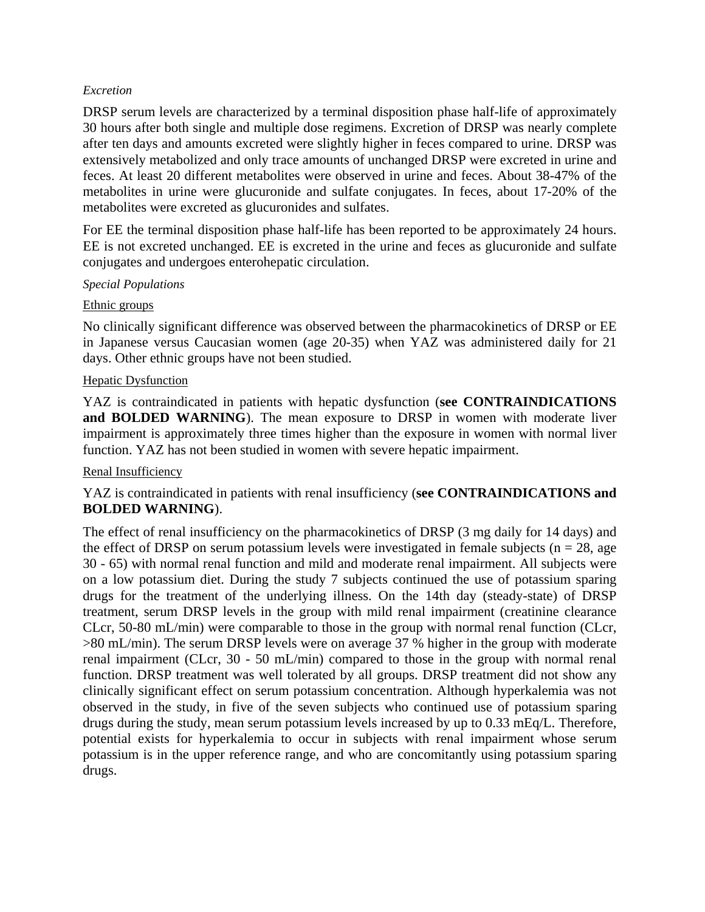### *Excretion*

DRSP serum levels are characterized by a terminal disposition phase half-life of approximately 30 hours after both single and multiple dose regimens. Excretion of DRSP was nearly complete after ten days and amounts excreted were slightly higher in feces compared to urine. DRSP was extensively metabolized and only trace amounts of unchanged DRSP were excreted in urine and feces. At least 20 different metabolites were observed in urine and feces. About 38-47% of the metabolites in urine were glucuronide and sulfate conjugates. In feces, about 17-20% of the metabolites were excreted as glucuronides and sulfates.

For EE the terminal disposition phase half-life has been reported to be approximately 24 hours. EE is not excreted unchanged. EE is excreted in the urine and feces as glucuronide and sulfate conjugates and undergoes enterohepatic circulation.

### *Special Populations*

## Ethnic groups

No clinically significant difference was observed between the pharmacokinetics of DRSP or EE in Japanese versus Caucasian women (age 20-35) when YAZ was administered daily for 21 days. Other ethnic groups have not been studied.

### Hepatic Dysfunction

YAZ is contraindicated in patients with hepatic dysfunction (**see CONTRAINDICATIONS and BOLDED WARNING**). The mean exposure to DRSP in women with moderate liver impairment is approximately three times higher than the exposure in women with normal liver function. YAZ has not been studied in women with severe hepatic impairment.

## Renal Insufficiency

YAZ is contraindicated in patients with renal insufficiency (**see CONTRAINDICATIONS and BOLDED WARNING**).

The effect of renal insufficiency on the pharmacokinetics of DRSP (3 mg daily for 14 days) and the effect of DRSP on serum potassium levels were investigated in female subjects ( $n = 28$ , age 30 - 65) with normal renal function and mild and moderate renal impairment. All subjects were on a low potassium diet. During the study 7 subjects continued the use of potassium sparing drugs for the treatment of the underlying illness. On the 14th day (steady-state) of DRSP treatment, serum DRSP levels in the group with mild renal impairment (creatinine clearance CLcr, 50-80 mL/min) were comparable to those in the group with normal renal function (CLcr, >80 mL/min). The serum DRSP levels were on average 37 % higher in the group with moderate renal impairment (CLcr, 30 - 50 mL/min) compared to those in the group with normal renal function. DRSP treatment was well tolerated by all groups. DRSP treatment did not show any clinically significant effect on serum potassium concentration. Although hyperkalemia was not observed in the study, in five of the seven subjects who continued use of potassium sparing drugs during the study, mean serum potassium levels increased by up to 0.33 mEq/L. Therefore, potential exists for hyperkalemia to occur in subjects with renal impairment whose serum potassium is in the upper reference range, and who are concomitantly using potassium sparing drugs.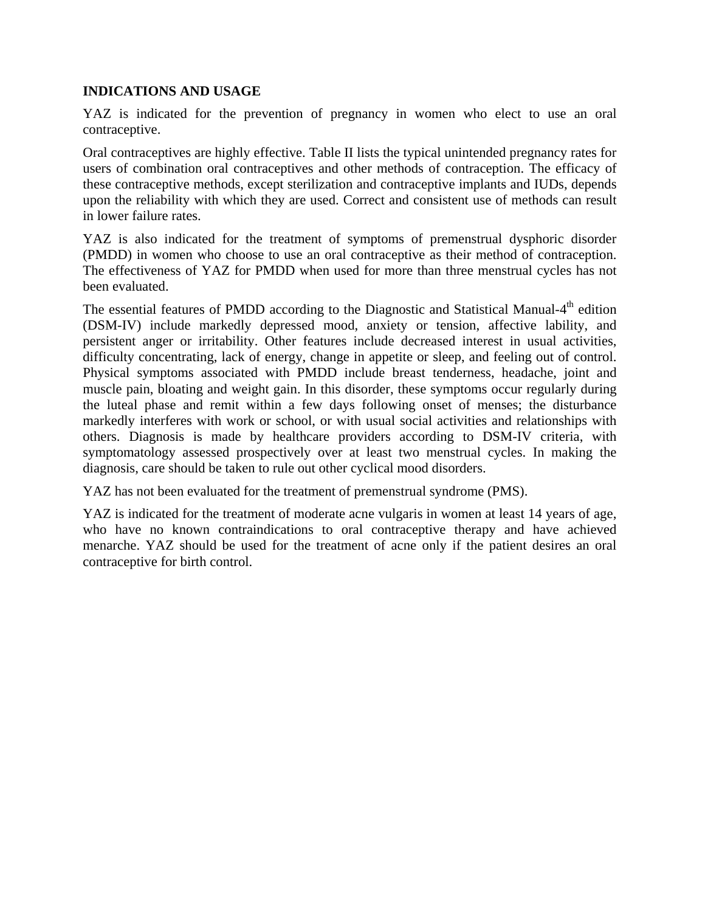## **INDICATIONS AND USAGE**

YAZ is indicated for the prevention of pregnancy in women who elect to use an oral contraceptive.

Oral contraceptives are highly effective. Table II lists the typical unintended pregnancy rates for users of combination oral contraceptives and other methods of contraception. The efficacy of these contraceptive methods, except sterilization and contraceptive implants and IUDs, depends upon the reliability with which they are used. Correct and consistent use of methods can result in lower failure rates.

YAZ is also indicated for the treatment of symptoms of premenstrual dysphoric disorder (PMDD) in women who choose to use an oral contraceptive as their method of contraception. The effectiveness of YAZ for PMDD when used for more than three menstrual cycles has not been evaluated.

The essential features of PMDD according to the Diagnostic and Statistical Manual-4<sup>th</sup> edition (DSM-IV) include markedly depressed mood, anxiety or tension, affective lability, and persistent anger or irritability. Other features include decreased interest in usual activities, difficulty concentrating, lack of energy, change in appetite or sleep, and feeling out of control. Physical symptoms associated with PMDD include breast tenderness, headache, joint and muscle pain, bloating and weight gain. In this disorder, these symptoms occur regularly during the luteal phase and remit within a few days following onset of menses; the disturbance markedly interferes with work or school, or with usual social activities and relationships with others. Diagnosis is made by healthcare providers according to DSM-IV criteria, with symptomatology assessed prospectively over at least two menstrual cycles. In making the diagnosis, care should be taken to rule out other cyclical mood disorders.

YAZ has not been evaluated for the treatment of premenstrual syndrome (PMS).

YAZ is indicated for the treatment of moderate acne vulgaris in women at least 14 years of age, who have no known contraindications to oral contraceptive therapy and have achieved menarche. YAZ should be used for the treatment of acne only if the patient desires an oral contraceptive for birth control.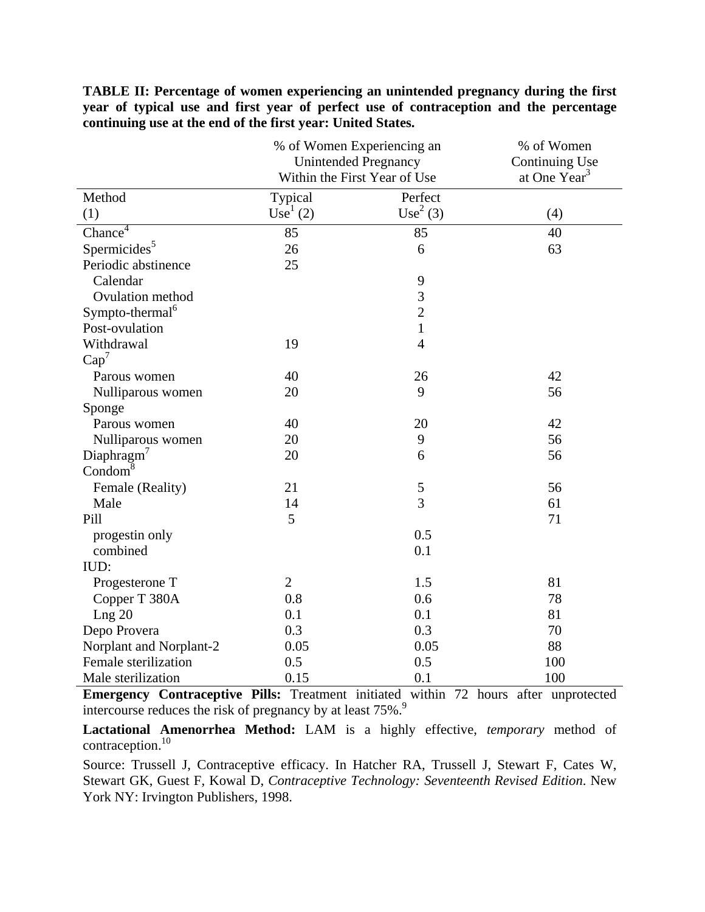|                             | % of Women Experiencing an                                  | % of Women<br>Continuing Use<br>at One Year <sup>3</sup> |     |  |
|-----------------------------|-------------------------------------------------------------|----------------------------------------------------------|-----|--|
|                             | <b>Unintended Pregnancy</b><br>Within the First Year of Use |                                                          |     |  |
| Method                      | Typical                                                     | Perfect                                                  |     |  |
| (1)                         | Use $1$ (2)                                                 | Use <sup>2</sup> (3)                                     | (4) |  |
| Change <sup>4</sup>         | 85                                                          | 85                                                       | 40  |  |
| Spermicides <sup>5</sup>    | 26                                                          | 6                                                        | 63  |  |
| Periodic abstinence         | 25                                                          |                                                          |     |  |
| Calendar                    |                                                             | 9                                                        |     |  |
| Ovulation method            |                                                             | 3                                                        |     |  |
| Sympto-thermal <sup>6</sup> |                                                             | $\overline{2}$                                           |     |  |
| Post-ovulation              |                                                             | $\mathbf{1}$                                             |     |  |
| Withdrawal                  | 19                                                          | $\overline{4}$                                           |     |  |
| $Cap^7$                     |                                                             |                                                          |     |  |
| Parous women                | 40                                                          | 26                                                       | 42  |  |
| Nulliparous women           | 20                                                          | 9                                                        | 56  |  |
| Sponge                      |                                                             |                                                          |     |  |
| Parous women                | 40                                                          | 20                                                       | 42  |  |
| Nulliparous women           | 20                                                          | 9                                                        | 56  |  |
| Diaphragm <sup>7</sup>      | 20                                                          | 6                                                        | 56  |  |
| Condom <sup>8</sup>         |                                                             |                                                          |     |  |
| Female (Reality)            | 21                                                          | 5                                                        | 56  |  |
| Male                        | 14                                                          | $\overline{3}$                                           | 61  |  |
| Pill                        | 5                                                           |                                                          | 71  |  |
| progestin only              |                                                             | 0.5                                                      |     |  |
| combined                    |                                                             | 0.1                                                      |     |  |
| IUD:                        |                                                             |                                                          |     |  |
| Progesterone T              | $\overline{2}$                                              | 1.5                                                      | 81  |  |
| Copper T 380A               | 0.8                                                         | 0.6                                                      | 78  |  |
| Lng 20                      | 0.1                                                         | 0.1                                                      | 81  |  |
| Depo Provera                | 0.3                                                         | 0.3                                                      | 70  |  |
| Norplant and Norplant-2     | 0.05                                                        | 0.05                                                     | 88  |  |
| Female sterilization        | 0.5                                                         | 0.5                                                      | 100 |  |
| Male sterilization          | 0.15                                                        | 0.1                                                      | 100 |  |

**TABLE II: Percentage of women experiencing an unintended pregnancy during the first year of typical use and first year of perfect use of contraception and the percentage continuing use at the end of the first year: United States.** 

**Emergency Contraceptive Pills:** Treatment initiated within 72 hours after unprotected intercourse reduces the risk of pregnancy by at least 75%.<sup>9</sup>

**Lactational Amenorrhea Method:** LAM is a highly effective, *temporary* method of contraception.<sup>10</sup>

Source: Trussell J, Contraceptive efficacy. In Hatcher RA, Trussell J, Stewart F, Cates W, Stewart GK, Guest F, Kowal D, *Contraceptive Technology: Seventeenth Revised Edition*. New York NY: Irvington Publishers, 1998.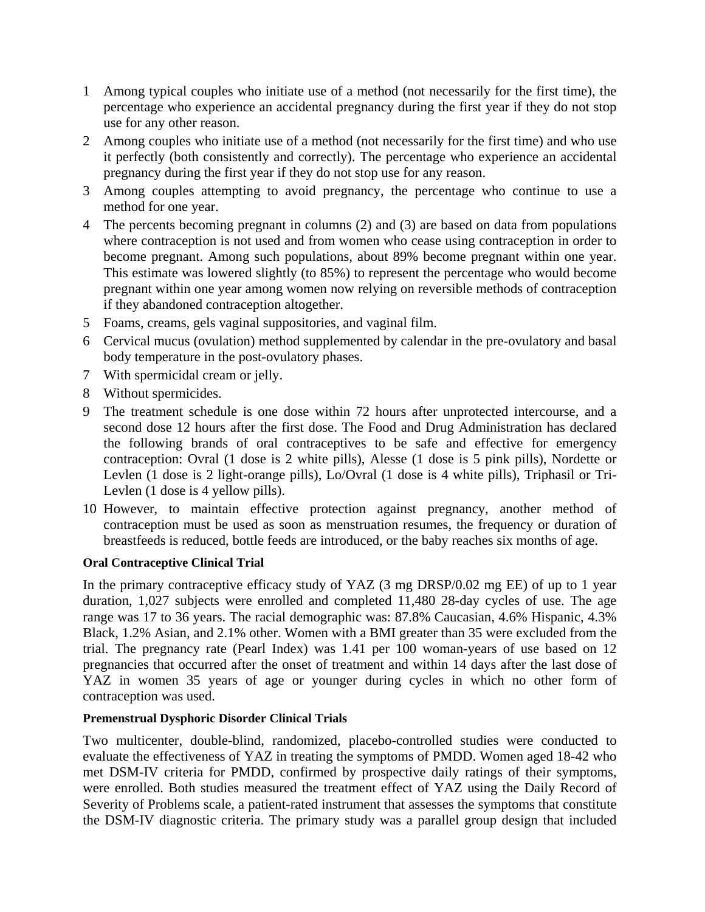- 1 Among typical couples who initiate use of a method (not necessarily for the first time), the percentage who experience an accidental pregnancy during the first year if they do not stop use for any other reason.
- 2 Among couples who initiate use of a method (not necessarily for the first time) and who use it perfectly (both consistently and correctly). The percentage who experience an accidental pregnancy during the first year if they do not stop use for any reason.
- 3 Among couples attempting to avoid pregnancy, the percentage who continue to use a method for one year.
- 4 The percents becoming pregnant in columns (2) and (3) are based on data from populations where contraception is not used and from women who cease using contraception in order to become pregnant. Among such populations, about 89% become pregnant within one year. This estimate was lowered slightly (to 85%) to represent the percentage who would become pregnant within one year among women now relying on reversible methods of contraception if they abandoned contraception altogether.
- 5 Foams, creams, gels vaginal suppositories, and vaginal film.
- 6 Cervical mucus (ovulation) method supplemented by calendar in the pre-ovulatory and basal body temperature in the post-ovulatory phases.
- 7 With spermicidal cream or jelly.
- 8 Without spermicides.
- 9 The treatment schedule is one dose within 72 hours after unprotected intercourse, and a second dose 12 hours after the first dose. The Food and Drug Administration has declared the following brands of oral contraceptives to be safe and effective for emergency contraception: Ovral (1 dose is 2 white pills), Alesse (1 dose is 5 pink pills), Nordette or Levlen (1 dose is 2 light-orange pills), Lo/Ovral (1 dose is 4 white pills), Triphasil or Tri-Levlen (1 dose is 4 yellow pills).
- 10 However, to maintain effective protection against pregnancy, another method of contraception must be used as soon as menstruation resumes, the frequency or duration of breastfeeds is reduced, bottle feeds are introduced, or the baby reaches six months of age.

## **Oral Contraceptive Clinical Trial**

In the primary contraceptive efficacy study of YAZ (3 mg DRSP/0.02 mg EE) of up to 1 year duration, 1,027 subjects were enrolled and completed 11,480 28-day cycles of use. The age range was 17 to 36 years. The racial demographic was: 87.8% Caucasian, 4.6% Hispanic, 4.3% Black, 1.2% Asian, and 2.1% other. Women with a BMI greater than 35 were excluded from the trial. The pregnancy rate (Pearl Index) was 1.41 per 100 woman-years of use based on 12 pregnancies that occurred after the onset of treatment and within 14 days after the last dose of YAZ in women 35 years of age or younger during cycles in which no other form of contraception was used.

## **Premenstrual Dysphoric Disorder Clinical Trials**

Two multicenter, double-blind, randomized, placebo-controlled studies were conducted to evaluate the effectiveness of YAZ in treating the symptoms of PMDD. Women aged 18-42 who met DSM-IV criteria for PMDD, confirmed by prospective daily ratings of their symptoms, were enrolled. Both studies measured the treatment effect of YAZ using the Daily Record of Severity of Problems scale, a patient-rated instrument that assesses the symptoms that constitute the DSM-IV diagnostic criteria. The primary study was a parallel group design that included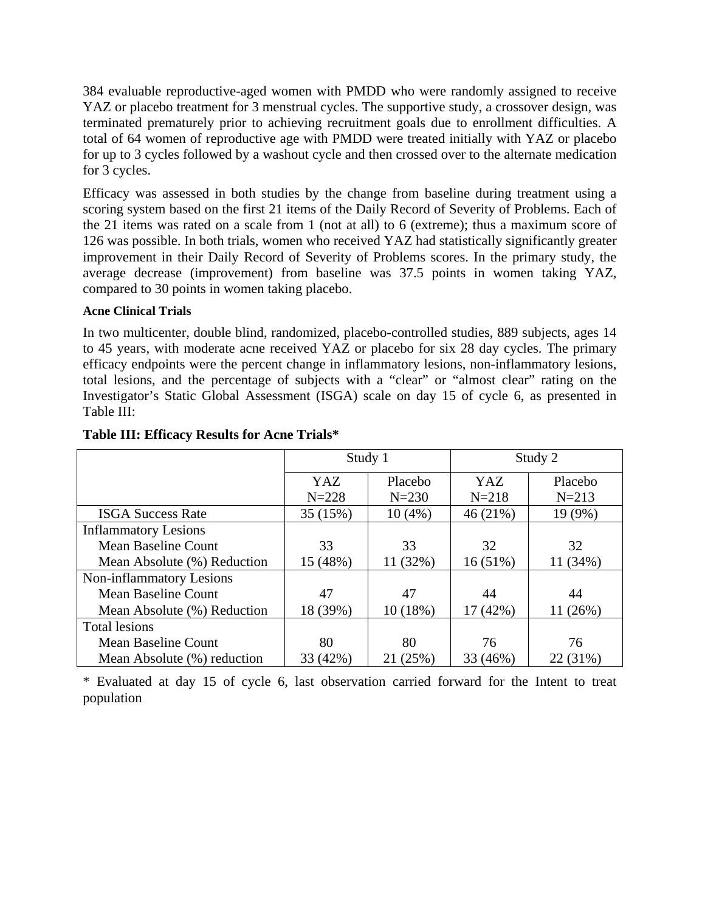for 3 cycles. 384 evaluable reproductive-aged women with PMDD who were randomly assigned to receive YAZ or placebo treatment for 3 menstrual cycles. The supportive study, a crossover design, was terminated prematurely prior to achieving recruitment goals due to enrollment difficulties. A total of 64 women of reproductive age with PMDD were treated initially with YAZ or placebo for up to 3 cycles followed by a washout cycle and then crossed over to the alternate medication

Efficacy was assessed in both studies by the change from baseline during treatment using a scoring system based on the first 21 items of the Daily Record of Severity of Problems. Each of the 21 items was rated on a scale from 1 (not at all) to 6 (extreme); thus a maximum score of 126 was possible. In both trials, women who received YAZ had statistically significantly greater improvement in their Daily Record of Severity of Problems scores. In the primary study, the average decrease (improvement) from baseline was 37.5 points in women taking YAZ, compared to 30 points in women taking placebo.

### **Acne Clinical Trials**

In two multicenter, double blind, randomized, placebo-controlled studies, 889 subjects, ages 14 to 45 years, with moderate acne received YAZ or placebo for six 28 day cycles. The primary efficacy endpoints were the percent change in inflammatory lesions, non-inflammatory lesions, total lesions, and the percentage of subjects with a "clear" or "almost clear" rating on the Investigator's Static Global Assessment (ISGA) scale on day 15 of cycle 6, as presented in Table III:

|                             | Study 1        |           | Study 2    |           |  |
|-----------------------------|----------------|-----------|------------|-----------|--|
|                             | YAZ<br>Placebo |           | <b>YAZ</b> | Placebo   |  |
|                             | $N = 228$      | $N = 230$ | $N = 218$  | $N = 213$ |  |
| <b>ISGA Success Rate</b>    | 35(15%)        | 10(4%)    | 46 (21%)   | 19 (9%)   |  |
| <b>Inflammatory Lesions</b> |                |           |            |           |  |
| <b>Mean Baseline Count</b>  | 33             | 33        | 32         | 32        |  |
| Mean Absolute (%) Reduction | 15 (48%)       | 11 (32%)  | 16(51%)    | 11 (34%)  |  |
| Non-inflammatory Lesions    |                |           |            |           |  |
| <b>Mean Baseline Count</b>  | 47             | 47        | 44         | 44        |  |
| Mean Absolute (%) Reduction | 18 (39%)       | 10 (18%)  | 17 (42%)   | 11 (26%)  |  |
| <b>Total lesions</b>        |                |           |            |           |  |
| Mean Baseline Count         | 80             | 80        | 76         | 76        |  |
| Mean Absolute (%) reduction | 33 (42%)       | 21 (25%)  | 33 (46%)   | 22 (31%)  |  |

## **Table III: Efficacy Results for Acne Trials\***

\* Evaluated at day 15 of cycle 6, last observation carried forward for the Intent to treat population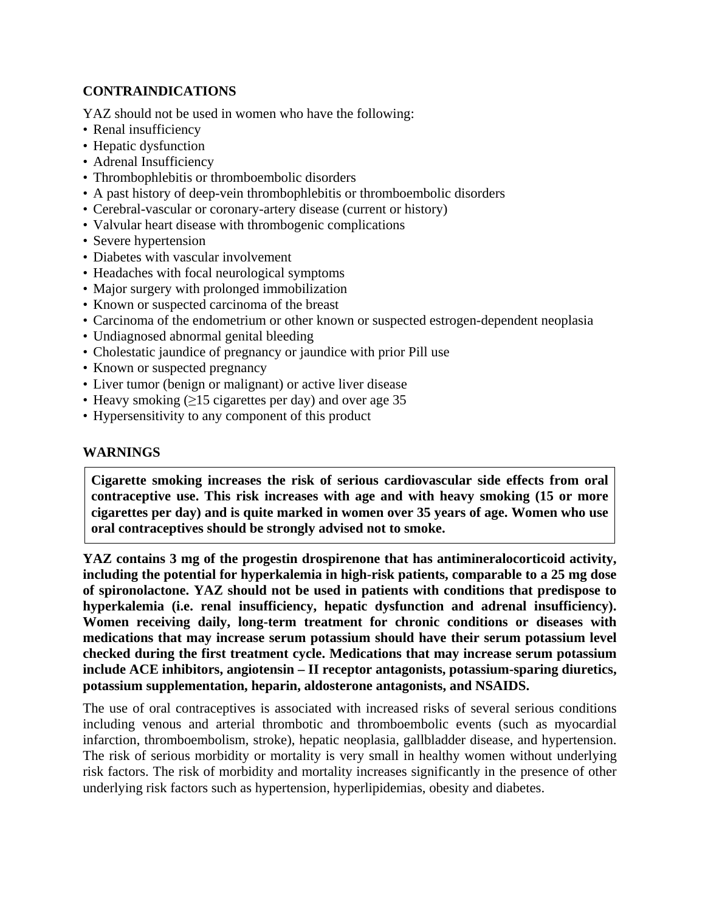## **CONTRAINDICATIONS**

YAZ should not be used in women who have the following:

- Renal insufficiency
- Hepatic dysfunction
- Adrenal Insufficiency
- Thrombophlebitis or thromboembolic disorders
- A past history of deep-vein thrombophlebitis or thromboembolic disorders
- Cerebral-vascular or coronary-artery disease (current or history)
- Valvular heart disease with thrombogenic complications
- Severe hypertension
- Diabetes with vascular involvement
- Headaches with focal neurological symptoms
- Major surgery with prolonged immobilization
- Known or suspected carcinoma of the breast
- Carcinoma of the endometrium or other known or suspected estrogen-dependent neoplasia
- Undiagnosed abnormal genital bleeding
- Cholestatic jaundice of pregnancy or jaundice with prior Pill use
- Known or suspected pregnancy
- Liver tumor (benign or malignant) or active liver disease
- Heavy smoking (>15 cigarettes per day) and over age 35
- Hypersensitivity to any component of this product

## **WARNINGS**

**Cigarette smoking increases the risk of serious cardiovascular side effects from oral contraceptive use. This risk increases with age and with heavy smoking (15 or more cigarettes per day) and is quite marked in women over 35 years of age. Women who use oral contraceptives should be strongly advised not to smoke.** 

**YAZ contains 3 mg of the progestin drospirenone that has antimineralocorticoid activity, including the potential for hyperkalemia in high-risk patients, comparable to a 25 mg dose of spironolactone. YAZ should not be used in patients with conditions that predispose to hyperkalemia (i.e. renal insufficiency, hepatic dysfunction and adrenal insufficiency). Women receiving daily, long-term treatment for chronic conditions or diseases with medications that may increase serum potassium should have their serum potassium level checked during the first treatment cycle. Medications that may increase serum potassium include ACE inhibitors, angiotensin – II receptor antagonists, potassium-sparing diuretics, potassium supplementation, heparin, aldosterone antagonists, and NSAIDS.** 

The use of oral contraceptives is associated with increased risks of several serious conditions including venous and arterial thrombotic and thromboembolic events (such as myocardial infarction, thromboembolism, stroke), hepatic neoplasia, gallbladder disease, and hypertension. The risk of serious morbidity or mortality is very small in healthy women without underlying risk factors. The risk of morbidity and mortality increases significantly in the presence of other underlying risk factors such as hypertension, hyperlipidemias, obesity and diabetes.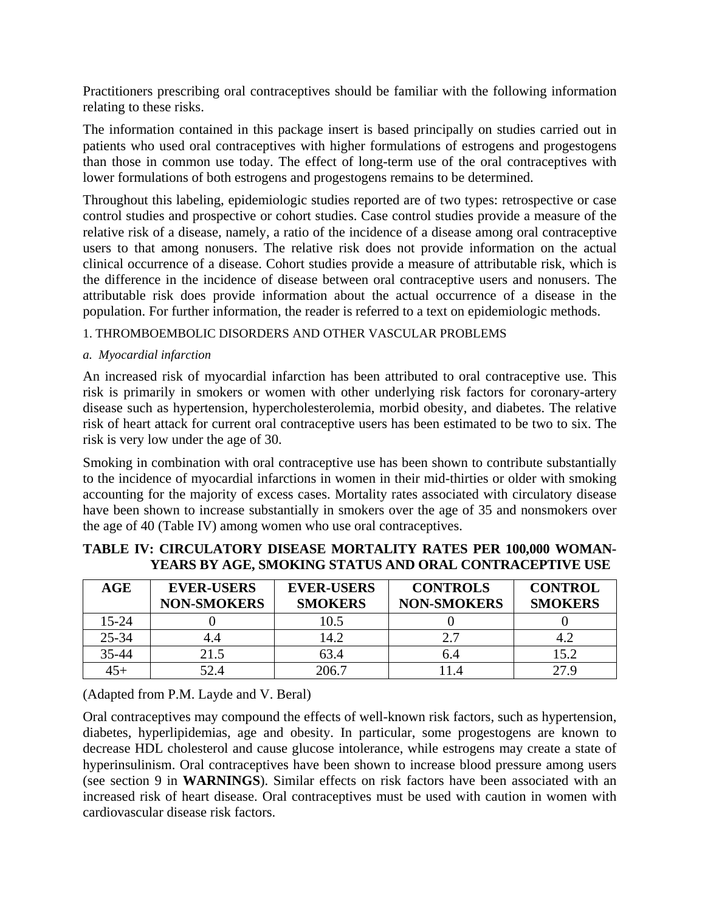Practitioners prescribing oral contraceptives should be familiar with the following information relating to these risks.

The information contained in this package insert is based principally on studies carried out in patients who used oral contraceptives with higher formulations of estrogens and progestogens than those in common use today. The effect of long-term use of the oral contraceptives with lower formulations of both estrogens and progestogens remains to be determined.

Throughout this labeling, epidemiologic studies reported are of two types: retrospective or case control studies and prospective or cohort studies. Case control studies provide a measure of the relative risk of a disease, namely, a ratio of the incidence of a disease among oral contraceptive users to that among nonusers. The relative risk does not provide information on the actual clinical occurrence of a disease. Cohort studies provide a measure of attributable risk, which is the difference in the incidence of disease between oral contraceptive users and nonusers. The attributable risk does provide information about the actual occurrence of a disease in the population. For further information, the reader is referred to a text on epidemiologic methods.

## 1. THROMBOEMBOLIC DISORDERS AND OTHER VASCULAR PROBLEMS

## *a. Myocardial infarction*

An increased risk of myocardial infarction has been attributed to oral contraceptive use. This risk is primarily in smokers or women with other underlying risk factors for coronary-artery disease such as hypertension, hypercholesterolemia, morbid obesity, and diabetes. The relative risk of heart attack for current oral contraceptive users has been estimated to be two to six. The risk is very low under the age of 30.

Smoking in combination with oral contraceptive use has been shown to contribute substantially to the incidence of myocardial infarctions in women in their mid-thirties or older with smoking accounting for the majority of excess cases. Mortality rates associated with circulatory disease have been shown to increase substantially in smokers over the age of 35 and nonsmokers over the age of 40 (Table IV) among women who use oral contraceptives.

| AGE       | <b>EVER-USERS</b>  | <b>EVER-USERS</b> | <b>CONTROLS</b>    | <b>CONTROL</b> |
|-----------|--------------------|-------------------|--------------------|----------------|
|           | <b>NON-SMOKERS</b> | <b>SMOKERS</b>    | <b>NON-SMOKERS</b> | <b>SMOKERS</b> |
| $15 - 24$ |                    | 10.5              |                    |                |
| $25 - 34$ | 4.4                | 14.2              | 2.7                |                |
| $35 - 44$ | 21.5               | 63.4              | 6.4                | 15.2           |
| $45+$     | 52.4               | 206.7             | 14                 | 27.9           |

**TABLE IV: CIRCULATORY DISEASE MORTALITY RATES PER 100,000 WOMAN-YEARS BY AGE, SMOKING STATUS AND ORAL CONTRACEPTIVE USE** 

(Adapted from P.M. Layde and V. Beral)

Oral contraceptives may compound the effects of well-known risk factors, such as hypertension, diabetes, hyperlipidemias, age and obesity. In particular, some progestogens are known to decrease HDL cholesterol and cause glucose intolerance, while estrogens may create a state of hyperinsulinism. Oral contraceptives have been shown to increase blood pressure among users (see section 9 in **WARNINGS**). Similar effects on risk factors have been associated with an increased risk of heart disease. Oral contraceptives must be used with caution in women with cardiovascular disease risk factors.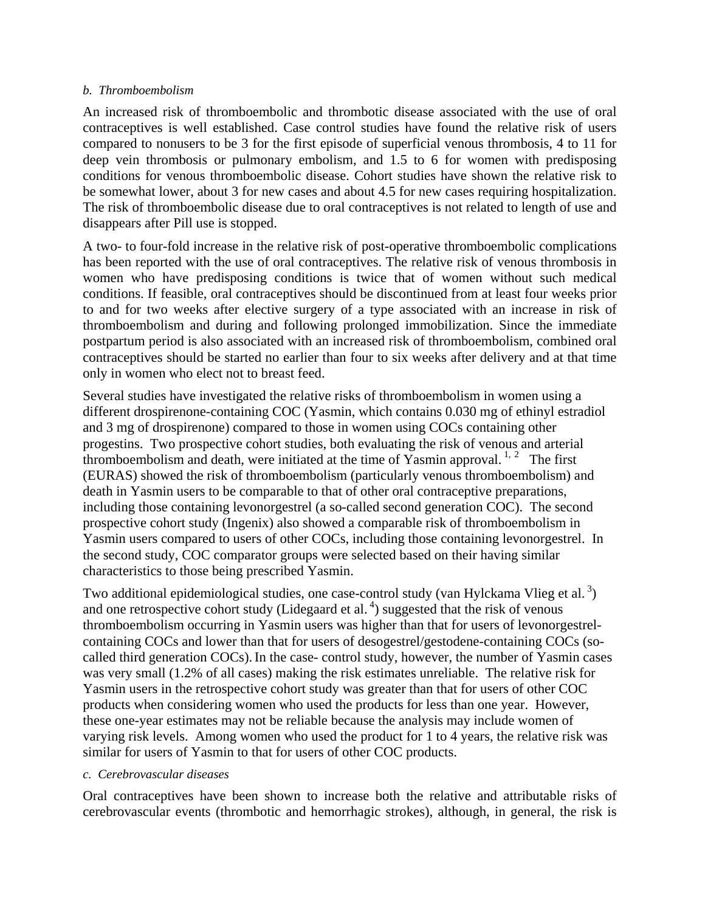#### *b. Thromboembolism*

An increased risk of thromboembolic and thrombotic disease associated with the use of oral contraceptives is well established. Case control studies have found the relative risk of users compared to nonusers to be 3 for the first episode of superficial venous thrombosis, 4 to 11 for deep vein thrombosis or pulmonary embolism, and 1.5 to 6 for women with predisposing conditions for venous thromboembolic disease. Cohort studies have shown the relative risk to be somewhat lower, about 3 for new cases and about 4.5 for new cases requiring hospitalization. The risk of thromboembolic disease due to oral contraceptives is not related to length of use and disappears after Pill use is stopped.

A two- to four-fold increase in the relative risk of post-operative thromboembolic complications has been reported with the use of oral contraceptives. The relative risk of venous thrombosis in women who have predisposing conditions is twice that of women without such medical conditions. If feasible, oral contraceptives should be discontinued from at least four weeks prior to and for two weeks after elective surgery of a type associated with an increase in risk of thromboembolism and during and following prolonged immobilization. Since the immediate postpartum period is also associated with an increased risk of thromboembolism, combined oral contraceptives should be started no earlier than four to six weeks after delivery and at that time only in women who elect not to breast feed.

Several studies have investigated the relative risks of thromboembolism in women using a different drospirenone-containing COC (Yasmin, which contains 0.030 mg of ethinyl estradiol and 3 mg of drospirenone) compared to those in women using COCs containing other progestins. Two prospective cohort studies, both evaluating the risk of venous and arterial thromboembolism and death, were initiated at the time of Yasmin approval.<sup>1, 2</sup> The first (EURAS) showed the risk of thromboembolism (particularly venous thromboembolism) and death in Yasmin users to be comparable to that of other oral contraceptive preparations, including those containing levonorgestrel (a so-called second generation COC). The second prospective cohort study (Ingenix) also showed a comparable risk of thromboembolism in Yasmin users compared to users of other COCs, including those containing levonorgestrel. In the second study, COC comparator groups were selected based on their having similar characteristics to those being prescribed Yasmin.

Two additional epidemiological studies, one case-control study (van Hylckama Vlieg et al.<sup>3</sup>) and one retrospective cohort study (Lidegaard et al.<sup>4</sup>) suggested that the risk of venous thromboembolism occurring in Yasmin users was higher than that for users of levonorgestrelcontaining COCs and lower than that for users of desogestrel/gestodene-containing COCs (socalled third generation COCs). In the case- control study, however, the number of Yasmin cases was very small (1.2% of all cases) making the risk estimates unreliable. The relative risk for Yasmin users in the retrospective cohort study was greater than that for users of other COC products when considering women who used the products for less than one year. However, these one-year estimates may not be reliable because the analysis may include women of varying risk levels. Among women who used the product for 1 to 4 years, the relative risk was similar for users of Yasmin to that for users of other COC products.

#### *c. Cerebrovascular diseases*

Oral contraceptives have been shown to increase both the relative and attributable risks of cerebrovascular events (thrombotic and hemorrhagic strokes), although, in general, the risk is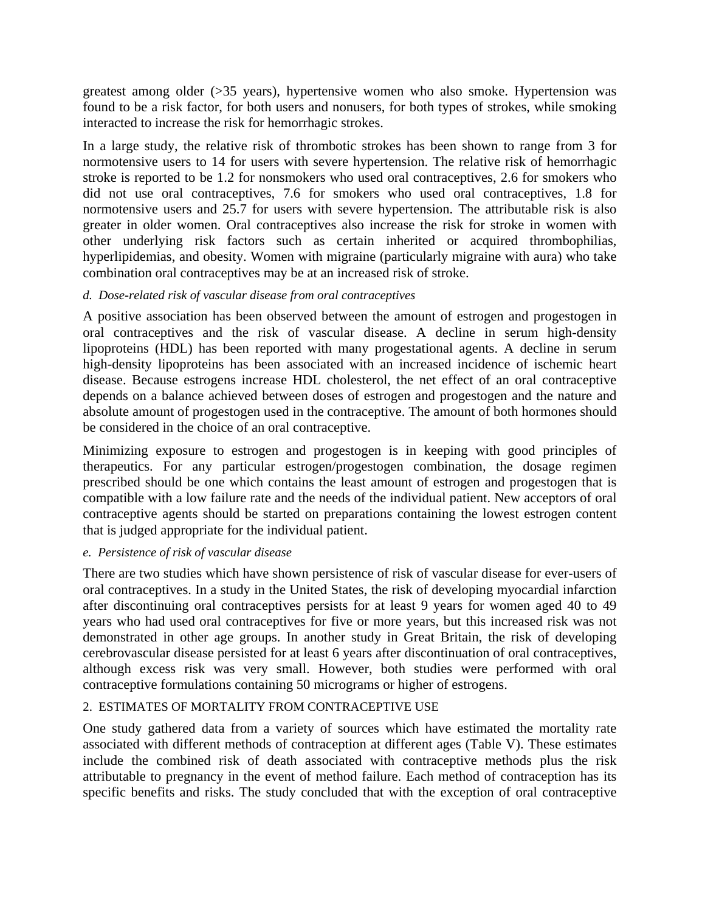greatest among older (>35 years), hypertensive women who also smoke. Hypertension was found to be a risk factor, for both users and nonusers, for both types of strokes, while smoking interacted to increase the risk for hemorrhagic strokes.

In a large study, the relative risk of thrombotic strokes has been shown to range from 3 for normotensive users to 14 for users with severe hypertension. The relative risk of hemorrhagic stroke is reported to be 1.2 for nonsmokers who used oral contraceptives, 2.6 for smokers who did not use oral contraceptives, 7.6 for smokers who used oral contraceptives, 1.8 for normotensive users and 25.7 for users with severe hypertension. The attributable risk is also greater in older women. Oral contraceptives also increase the risk for stroke in women with other underlying risk factors such as certain inherited or acquired thrombophilias, hyperlipidemias, and obesity. Women with migraine (particularly migraine with aura) who take combination oral contraceptives may be at an increased risk of stroke.

## *d. Dose-related risk of vascular disease from oral contraceptives*

A positive association has been observed between the amount of estrogen and progestogen in oral contraceptives and the risk of vascular disease. A decline in serum high-density lipoproteins (HDL) has been reported with many progestational agents. A decline in serum high-density lipoproteins has been associated with an increased incidence of ischemic heart disease. Because estrogens increase HDL cholesterol, the net effect of an oral contraceptive depends on a balance achieved between doses of estrogen and progestogen and the nature and absolute amount of progestogen used in the contraceptive. The amount of both hormones should be considered in the choice of an oral contraceptive.

Minimizing exposure to estrogen and progestogen is in keeping with good principles of therapeutics. For any particular estrogen/progestogen combination, the dosage regimen prescribed should be one which contains the least amount of estrogen and progestogen that is compatible with a low failure rate and the needs of the individual patient. New acceptors of oral contraceptive agents should be started on preparations containing the lowest estrogen content that is judged appropriate for the individual patient.

## *e. Persistence of risk of vascular disease*

There are two studies which have shown persistence of risk of vascular disease for ever-users of oral contraceptives. In a study in the United States, the risk of developing myocardial infarction after discontinuing oral contraceptives persists for at least 9 years for women aged 40 to 49 years who had used oral contraceptives for five or more years, but this increased risk was not demonstrated in other age groups. In another study in Great Britain, the risk of developing cerebrovascular disease persisted for at least 6 years after discontinuation of oral contraceptives, although excess risk was very small. However, both studies were performed with oral contraceptive formulations containing 50 micrograms or higher of estrogens.

## 2. ESTIMATES OF MORTALITY FROM CONTRACEPTIVE USE

One study gathered data from a variety of sources which have estimated the mortality rate associated with different methods of contraception at different ages (Table V). These estimates include the combined risk of death associated with contraceptive methods plus the risk attributable to pregnancy in the event of method failure. Each method of contraception has its specific benefits and risks. The study concluded that with the exception of oral contraceptive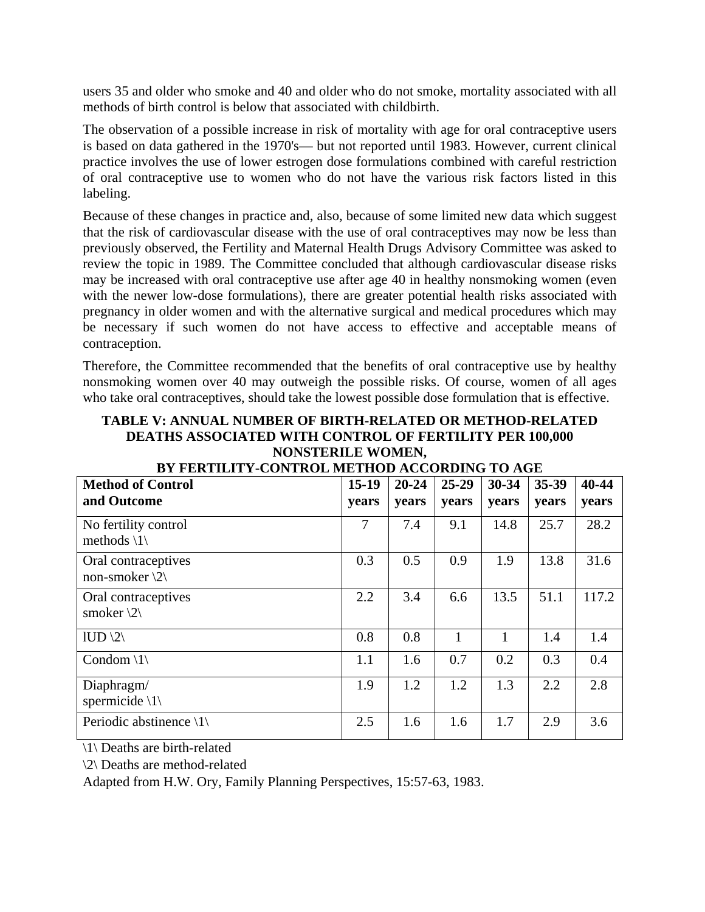users 35 and older who smoke and 40 and older who do not smoke, mortality associated with all methods of birth control is below that associated with childbirth.

The observation of a possible increase in risk of mortality with age for oral contraceptive users is based on data gathered in the 1970's— but not reported until 1983. However, current clinical practice involves the use of lower estrogen dose formulations combined with careful restriction of oral contraceptive use to women who do not have the various risk factors listed in this labeling.

Because of these changes in practice and, also, because of some limited new data which suggest that the risk of cardiovascular disease with the use of oral contraceptives may now be less than previously observed, the Fertility and Maternal Health Drugs Advisory Committee was asked to review the topic in 1989. The Committee concluded that although cardiovascular disease risks may be increased with oral contraceptive use after age 40 in healthy nonsmoking women (even with the newer low-dose formulations), there are greater potential health risks associated with pregnancy in older women and with the alternative surgical and medical procedures which may be necessary if such women do not have access to effective and acceptable means of contraception.

Therefore, the Committee recommended that the benefits of oral contraceptive use by healthy nonsmoking women over 40 may outweigh the possible risks. Of course, women of all ages who take oral contraceptives, should take the lowest possible dose formulation that is effective.

**TABLE V: ANNUAL NUMBER OF BIRTH-RELATED OR METHOD-RELATED** 

| TABLE V: ANNUAL NUMBER OF BIRTH-RELATED OR METHOD-RELATED      |
|----------------------------------------------------------------|
| <b>DEATHS ASSOCIATED WITH CONTROL OF FERTILITY PER 100,000</b> |
| NONSTERILE WOMEN,                                              |
| <b>BY FERTILITY-CONTROL METHOD ACCORDING TO AGE</b>            |

| <b>Method of Control</b>                              | $15-19$ | $20 - 24$ | $25 - 29$ | $30 - 34$ | 35-39 | 40-44 |  |
|-------------------------------------------------------|---------|-----------|-----------|-----------|-------|-------|--|
| and Outcome                                           | years   | years     | years     | years     | years | years |  |
| No fertility control<br>methods $\langle 1 \rangle$   | 7       | 7.4       | 9.1       | 14.8      | 25.7  | 28.2  |  |
| Oral contraceptives<br>non-smoker $\langle 2 \rangle$ | 0.3     | 0.5       | 0.9       | 1.9       | 13.8  | 31.6  |  |
| Oral contraceptives<br>smoker $\langle 2 \rangle$     | 2.2     | 3.4       | 6.6       | 13.5      | 51.1  | 117.2 |  |
| $IUD \ 2$                                             | 0.8     | 0.8       |           |           | 1.4   | 1.4   |  |
| Condom $ 1\rangle$                                    | 1.1     | 1.6       | 0.7       | 0.2       | 0.3   | 0.4   |  |
| Diaphragm/<br>spermicide $\langle 1 \rangle$          | 1.9     | 1.2       | 1.2       | 1.3       | 2.2   | 2.8   |  |
| Periodic abstinence \1\                               | 2.5     | 1.6       | 1.6       | 1.7       | 2.9   | 3.6   |  |

\1\ Deaths are birth-related

\2\ Deaths are method-related

Adapted from H.W. Ory, Family Planning Perspectives, 15:57-63, 1983.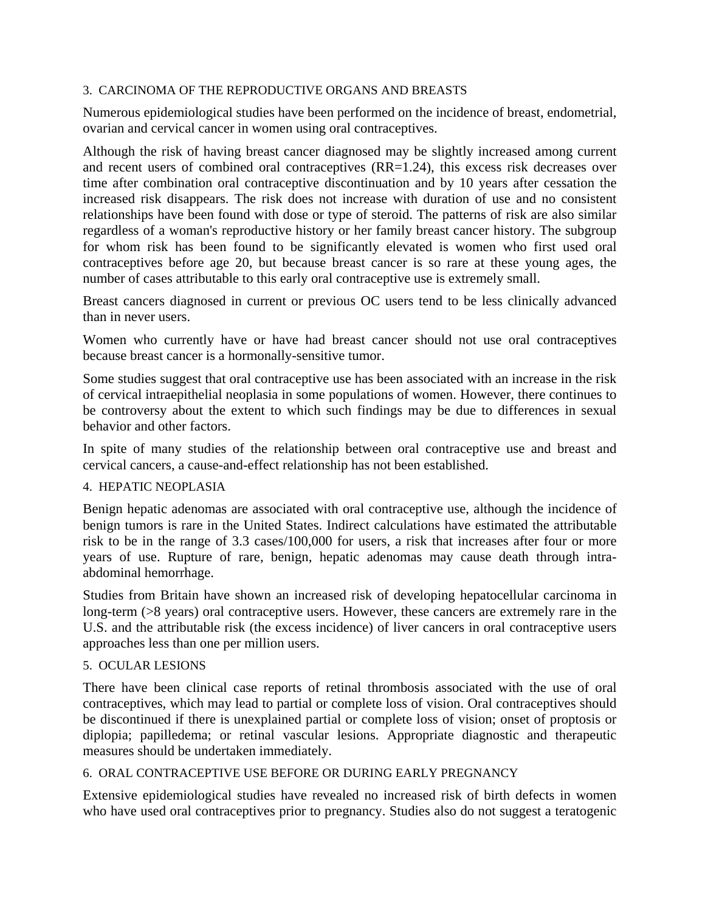### 3. CARCINOMA OF THE REPRODUCTIVE ORGANS AND BREASTS

Numerous epidemiological studies have been performed on the incidence of breast, endometrial, ovarian and cervical cancer in women using oral contraceptives.

Although the risk of having breast cancer diagnosed may be slightly increased among current and recent users of combined oral contraceptives (RR=1.24), this excess risk decreases over time after combination oral contraceptive discontinuation and by 10 years after cessation the increased risk disappears. The risk does not increase with duration of use and no consistent relationships have been found with dose or type of steroid. The patterns of risk are also similar regardless of a woman's reproductive history or her family breast cancer history. The subgroup for whom risk has been found to be significantly elevated is women who first used oral contraceptives before age 20, but because breast cancer is so rare at these young ages, the number of cases attributable to this early oral contraceptive use is extremely small.

Breast cancers diagnosed in current or previous OC users tend to be less clinically advanced than in never users.

Women who currently have or have had breast cancer should not use oral contraceptives because breast cancer is a hormonally-sensitive tumor.

Some studies suggest that oral contraceptive use has been associated with an increase in the risk of cervical intraepithelial neoplasia in some populations of women. However, there continues to be controversy about the extent to which such findings may be due to differences in sexual behavior and other factors.

In spite of many studies of the relationship between oral contraceptive use and breast and cervical cancers, a cause-and-effect relationship has not been established.

## 4. HEPATIC NEOPLASIA

Benign hepatic adenomas are associated with oral contraceptive use, although the incidence of benign tumors is rare in the United States. Indirect calculations have estimated the attributable risk to be in the range of 3.3 cases/100,000 for users, a risk that increases after four or more years of use. Rupture of rare, benign, hepatic adenomas may cause death through intraabdominal hemorrhage.

Studies from Britain have shown an increased risk of developing hepatocellular carcinoma in long-term (>8 years) oral contraceptive users. However, these cancers are extremely rare in the U.S. and the attributable risk (the excess incidence) of liver cancers in oral contraceptive users approaches less than one per million users.

## 5. OCULAR LESIONS

There have been clinical case reports of retinal thrombosis associated with the use of oral contraceptives, which may lead to partial or complete loss of vision. Oral contraceptives should be discontinued if there is unexplained partial or complete loss of vision; onset of proptosis or diplopia; papilledema; or retinal vascular lesions. Appropriate diagnostic and therapeutic measures should be undertaken immediately.

## 6. ORAL CONTRACEPTIVE USE BEFORE OR DURING EARLY PREGNANCY

Extensive epidemiological studies have revealed no increased risk of birth defects in women who have used oral contraceptives prior to pregnancy. Studies also do not suggest a teratogenic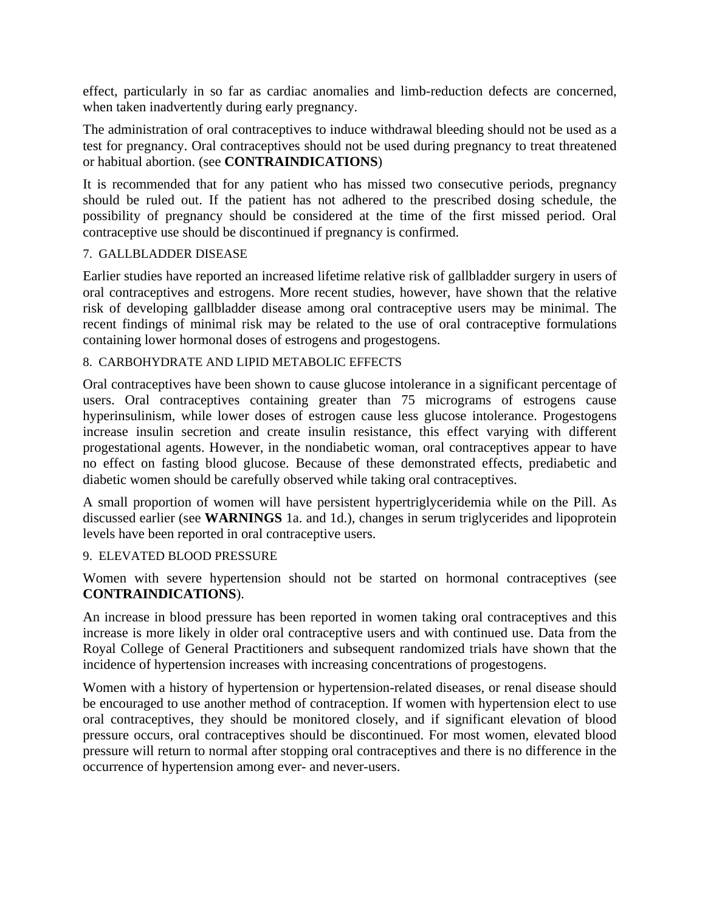effect, particularly in so far as cardiac anomalies and limb-reduction defects are concerned, when taken inadvertently during early pregnancy.

The administration of oral contraceptives to induce withdrawal bleeding should not be used as a test for pregnancy. Oral contraceptives should not be used during pregnancy to treat threatened or habitual abortion. (see **CONTRAINDICATIONS**)

It is recommended that for any patient who has missed two consecutive periods, pregnancy should be ruled out. If the patient has not adhered to the prescribed dosing schedule, the possibility of pregnancy should be considered at the time of the first missed period. Oral contraceptive use should be discontinued if pregnancy is confirmed.

## 7. GALLBLADDER DISEASE

Earlier studies have reported an increased lifetime relative risk of gallbladder surgery in users of oral contraceptives and estrogens. More recent studies, however, have shown that the relative risk of developing gallbladder disease among oral contraceptive users may be minimal. The recent findings of minimal risk may be related to the use of oral contraceptive formulations containing lower hormonal doses of estrogens and progestogens.

## 8. CARBOHYDRATE AND LIPID METABOLIC EFFECTS

Oral contraceptives have been shown to cause glucose intolerance in a significant percentage of users. Oral contraceptives containing greater than 75 micrograms of estrogens cause hyperinsulinism, while lower doses of estrogen cause less glucose intolerance. Progestogens increase insulin secretion and create insulin resistance, this effect varying with different progestational agents. However, in the nondiabetic woman, oral contraceptives appear to have no effect on fasting blood glucose. Because of these demonstrated effects, prediabetic and diabetic women should be carefully observed while taking oral contraceptives.

A small proportion of women will have persistent hypertriglyceridemia while on the Pill. As discussed earlier (see **WARNINGS** 1a. and 1d.), changes in serum triglycerides and lipoprotein levels have been reported in oral contraceptive users.

### 9. ELEVATED BLOOD PRESSURE

Women with severe hypertension should not be started on hormonal contraceptives (see **CONTRAINDICATIONS**).

An increase in blood pressure has been reported in women taking oral contraceptives and this increase is more likely in older oral contraceptive users and with continued use. Data from the Royal College of General Practitioners and subsequent randomized trials have shown that the incidence of hypertension increases with increasing concentrations of progestogens.

Women with a history of hypertension or hypertension-related diseases, or renal disease should be encouraged to use another method of contraception. If women with hypertension elect to use oral contraceptives, they should be monitored closely, and if significant elevation of blood pressure occurs, oral contraceptives should be discontinued. For most women, elevated blood pressure will return to normal after stopping oral contraceptives and there is no difference in the occurrence of hypertension among ever- and never-users.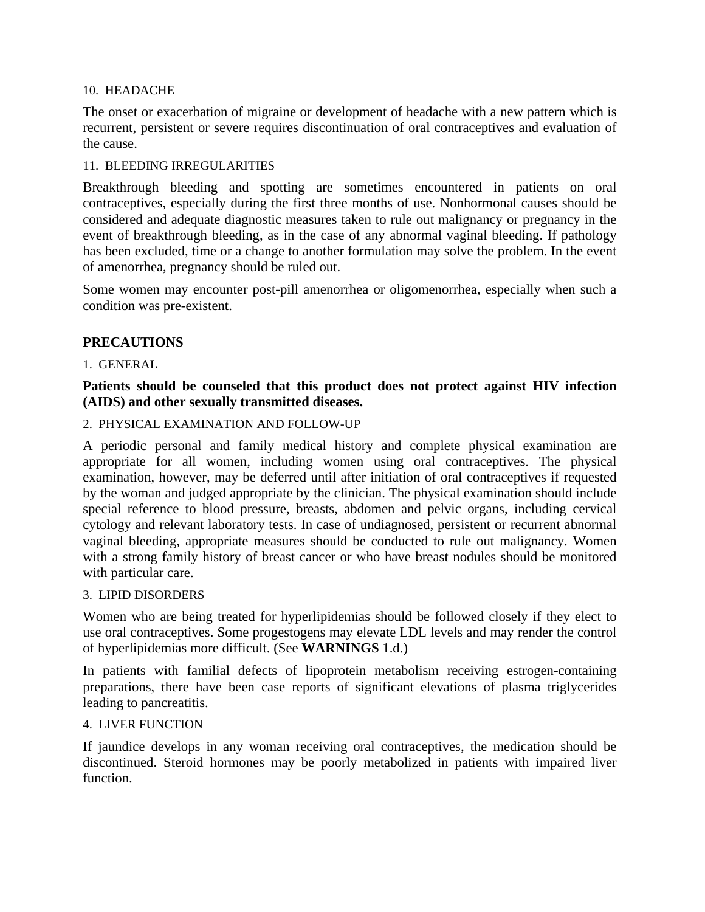#### 10. HEADACHE

The onset or exacerbation of migraine or development of headache with a new pattern which is recurrent, persistent or severe requires discontinuation of oral contraceptives and evaluation of the cause.

### 11. BLEEDING IRREGULARITIES

Breakthrough bleeding and spotting are sometimes encountered in patients on oral contraceptives, especially during the first three months of use. Nonhormonal causes should be considered and adequate diagnostic measures taken to rule out malignancy or pregnancy in the event of breakthrough bleeding, as in the case of any abnormal vaginal bleeding. If pathology has been excluded, time or a change to another formulation may solve the problem. In the event of amenorrhea, pregnancy should be ruled out.

Some women may encounter post-pill amenorrhea or oligomenorrhea, especially when such a condition was pre-existent.

## **PRECAUTIONS**

### 1. GENERAL

**Patients should be counseled that this product does not protect against HIV infection (AIDS) and other sexually transmitted diseases.** 

#### 2. PHYSICAL EXAMINATION AND FOLLOW-UP

A periodic personal and family medical history and complete physical examination are appropriate for all women, including women using oral contraceptives. The physical examination, however, may be deferred until after initiation of oral contraceptives if requested by the woman and judged appropriate by the clinician. The physical examination should include special reference to blood pressure, breasts, abdomen and pelvic organs, including cervical cytology and relevant laboratory tests. In case of undiagnosed, persistent or recurrent abnormal vaginal bleeding, appropriate measures should be conducted to rule out malignancy. Women with a strong family history of breast cancer or who have breast nodules should be monitored with particular care.

#### 3. LIPID DISORDERS

Women who are being treated for hyperlipidemias should be followed closely if they elect to use oral contraceptives. Some progestogens may elevate LDL levels and may render the control of hyperlipidemias more difficult. (See **WARNINGS** 1.d.)

In patients with familial defects of lipoprotein metabolism receiving estrogen-containing preparations, there have been case reports of significant elevations of plasma triglycerides leading to pancreatitis.

#### 4. LIVER FUNCTION

If jaundice develops in any woman receiving oral contraceptives, the medication should be discontinued. Steroid hormones may be poorly metabolized in patients with impaired liver function.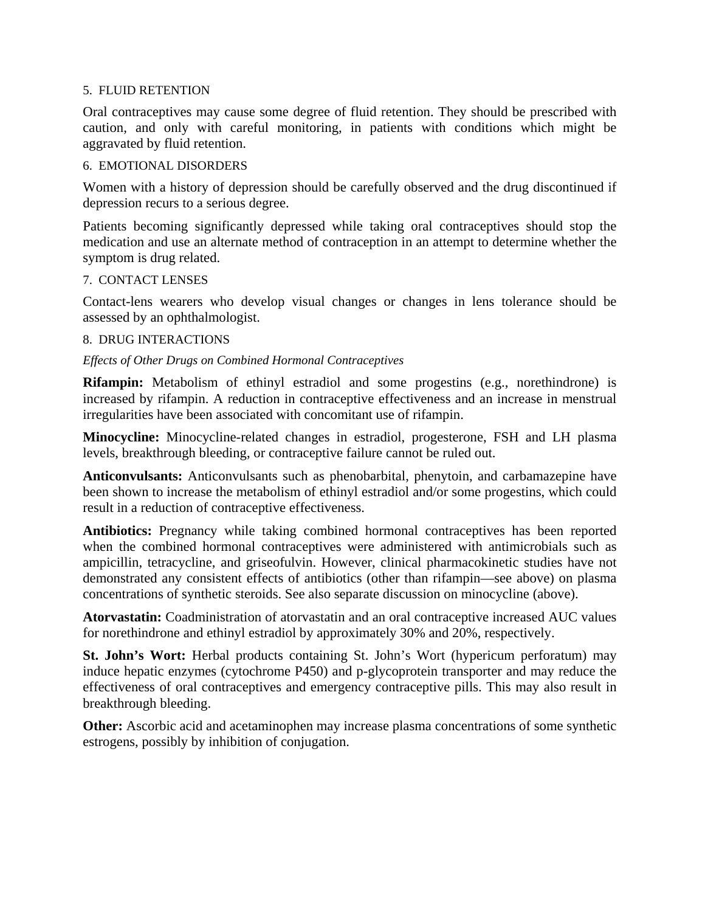#### 5. FLUID RETENTION

Oral contraceptives may cause some degree of fluid retention. They should be prescribed with caution, and only with careful monitoring, in patients with conditions which might be aggravated by fluid retention.

### 6. EMOTIONAL DISORDERS

Women with a history of depression should be carefully observed and the drug discontinued if depression recurs to a serious degree.

Patients becoming significantly depressed while taking oral contraceptives should stop the medication and use an alternate method of contraception in an attempt to determine whether the symptom is drug related.

### 7. CONTACT LENSES

Contact-lens wearers who develop visual changes or changes in lens tolerance should be assessed by an ophthalmologist.

### 8. DRUG INTERACTIONS

## *Effects of Other Drugs on Combined Hormonal Contraceptives*

**Rifampin:** Metabolism of ethinyl estradiol and some progestins (e.g., norethindrone) is increased by rifampin. A reduction in contraceptive effectiveness and an increase in menstrual irregularities have been associated with concomitant use of rifampin.

 levels, breakthrough bleeding, or contraceptive failure cannot be ruled out. **Minocycline:** Minocycline-related changes in estradiol, progesterone, FSH and LH plasma

**Anticonvulsants:** Anticonvulsants such as phenobarbital, phenytoin, and carbamazepine have been shown to increase the metabolism of ethinyl estradiol and/or some progestins, which could result in a reduction of contraceptive effectiveness.

**Antibiotics:** Pregnancy while taking combined hormonal contraceptives has been reported when the combined hormonal contraceptives were administered with antimicrobials such as ampicillin, tetracycline, and griseofulvin. However, clinical pharmacokinetic studies have not demonstrated any consistent effects of antibiotics (other than rifampin—see above) on plasma concentrations of synthetic steroids. See also separate discussion on minocycline (above).

**Atorvastatin:** Coadministration of atorvastatin and an oral contraceptive increased AUC values for norethindrone and ethinyl estradiol by approximately 30% and 20%, respectively.

**St. John's Wort:** Herbal products containing St. John's Wort (hypericum perforatum) may induce hepatic enzymes (cytochrome P450) and p-glycoprotein transporter and may reduce the effectiveness of oral contraceptives and emergency contraceptive pills. This may also result in breakthrough bleeding.

**Other:** Ascorbic acid and acetaminophen may increase plasma concentrations of some synthetic estrogens, possibly by inhibition of conjugation.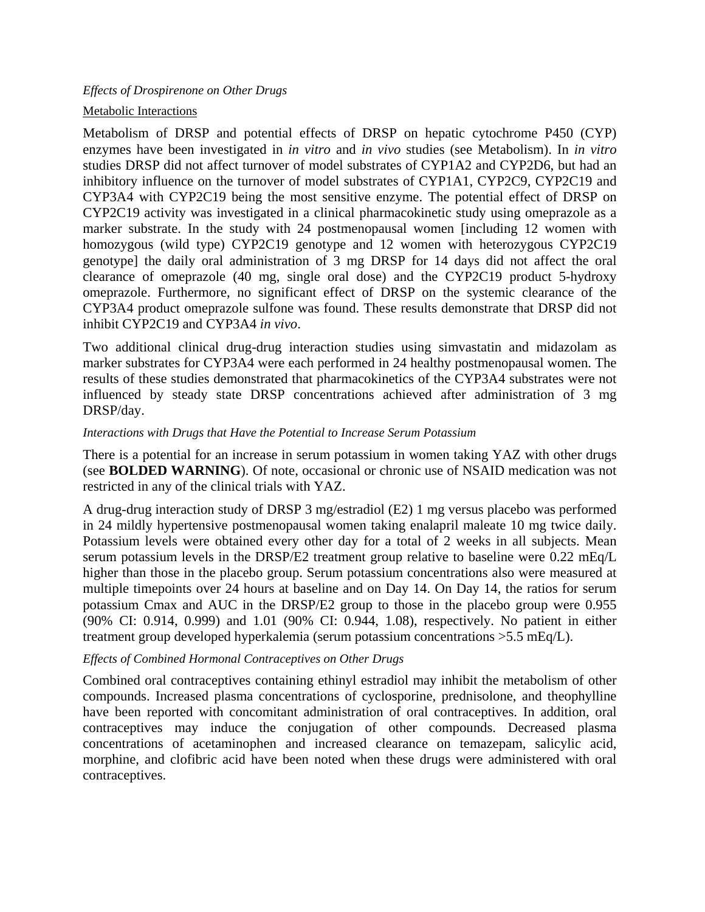#### *Effects of Drospirenone on Other Drugs*

#### Metabolic Interactions

Metabolism of DRSP and potential effects of DRSP on hepatic cytochrome P450 (CYP) enzymes have been investigated in *in vitro* and *in vivo* studies (see Metabolism). In *in vitro*  studies DRSP did not affect turnover of model substrates of CYP1A2 and CYP2D6, but had an inhibitory influence on the turnover of model substrates of CYP1A1, CYP2C9, CYP2C19 and CYP3A4 with CYP2C19 being the most sensitive enzyme. The potential effect of DRSP on CYP2C19 activity was investigated in a clinical pharmacokinetic study using omeprazole as a marker substrate. In the study with 24 postmenopausal women [including 12 women with homozygous (wild type) CYP2C19 genotype and 12 women with heterozygous CYP2C19 genotype] the daily oral administration of 3 mg DRSP for 14 days did not affect the oral clearance of omeprazole (40 mg, single oral dose) and the CYP2C19 product 5-hydroxy omeprazole. Furthermore, no significant effect of DRSP on the systemic clearance of the CYP3A4 product omeprazole sulfone was found. These results demonstrate that DRSP did not inhibit CYP2C19 and CYP3A4 *in vivo*.

Two additional clinical drug-drug interaction studies using simvastatin and midazolam as marker substrates for CYP3A4 were each performed in 24 healthy postmenopausal women. The results of these studies demonstrated that pharmacokinetics of the CYP3A4 substrates were not influenced by steady state DRSP concentrations achieved after administration of 3 mg DRSP/day.

#### *Interactions with Drugs that Have the Potential to Increase Serum Potassium*

There is a potential for an increase in serum potassium in women taking YAZ with other drugs (see **BOLDED WARNING**). Of note, occasional or chronic use of NSAID medication was not restricted in any of the clinical trials with YAZ.

A drug-drug interaction study of DRSP 3 mg/estradiol (E2) 1 mg versus placebo was performed in 24 mildly hypertensive postmenopausal women taking enalapril maleate 10 mg twice daily. Potassium levels were obtained every other day for a total of 2 weeks in all subjects. Mean serum potassium levels in the DRSP/E2 treatment group relative to baseline were 0.22 mEq/L higher than those in the placebo group. Serum potassium concentrations also were measured at multiple timepoints over 24 hours at baseline and on Day 14. On Day 14, the ratios for serum potassium Cmax and AUC in the DRSP/E2 group to those in the placebo group were 0.955 (90% CI: 0.914, 0.999) and 1.01 (90% CI: 0.944, 1.08), respectively. No patient in either treatment group developed hyperkalemia (serum potassium concentrations >5.5 mEq/L).

#### *Effects of Combined Hormonal Contraceptives on Other Drugs*

Combined oral contraceptives containing ethinyl estradiol may inhibit the metabolism of other compounds. Increased plasma concentrations of cyclosporine, prednisolone, and theophylline have been reported with concomitant administration of oral contraceptives. In addition, oral contraceptives may induce the conjugation of other compounds. Decreased plasma concentrations of acetaminophen and increased clearance on temazepam, salicylic acid, morphine, and clofibric acid have been noted when these drugs were administered with oral contraceptives.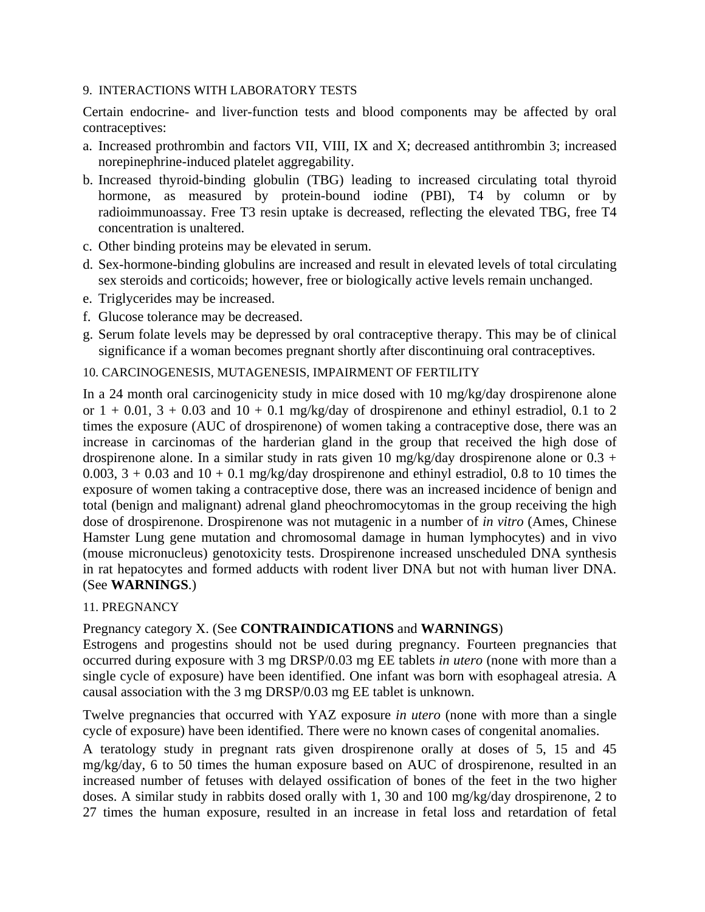### 9. INTERACTIONS WITH LABORATORY TESTS

Certain endocrine- and liver-function tests and blood components may be affected by oral contraceptives:

- a. Increased prothrombin and factors VII, VIII, IX and X; decreased antithrombin 3; increased norepinephrine-induced platelet aggregability.
- b. Increased thyroid-binding globulin (TBG) leading to increased circulating total thyroid hormone, as measured by protein-bound iodine (PBI), T4 by column or by radioimmunoassay. Free T3 resin uptake is decreased, reflecting the elevated TBG, free T4 concentration is unaltered.
- c. Other binding proteins may be elevated in serum.
- d. Sex-hormone-binding globulins are increased and result in elevated levels of total circulating sex steroids and corticoids; however, free or biologically active levels remain unchanged.
- e. Triglycerides may be increased.
- f. Glucose tolerance may be decreased.
- g. Serum folate levels may be depressed by oral contraceptive therapy. This may be of clinical significance if a woman becomes pregnant shortly after discontinuing oral contraceptives.
- 10. CARCINOGENESIS, MUTAGENESIS, IMPAIRMENT OF FERTILITY

In a 24 month oral carcinogenicity study in mice dosed with 10 mg/kg/day drospirenone alone or  $1 + 0.01$ ,  $3 + 0.03$  and  $10 + 0.1$  mg/kg/day of drospirenone and ethinyl estradiol, 0.1 to 2 times the exposure (AUC of drospirenone) of women taking a contraceptive dose, there was an increase in carcinomas of the harderian gland in the group that received the high dose of drospirenone alone. In a similar study in rats given 10 mg/kg/day drospirenone alone or  $0.3 +$ 0.003,  $3 + 0.03$  and  $10 + 0.1$  mg/kg/day drospirenone and ethinyl estradiol, 0.8 to 10 times the exposure of women taking a contraceptive dose, there was an increased incidence of benign and total (benign and malignant) adrenal gland pheochromocytomas in the group receiving the high dose of drospirenone. Drospirenone was not mutagenic in a number of *in vitro* (Ames, Chinese Hamster Lung gene mutation and chromosomal damage in human lymphocytes) and in vivo (mouse micronucleus) genotoxicity tests. Drospirenone increased unscheduled DNA synthesis in rat hepatocytes and formed adducts with rodent liver DNA but not with human liver DNA. (See **WARNINGS**.)

## 11. PREGNANCY

Pregnancy category X. (See **CONTRAINDICATIONS** and **WARNINGS**)

Estrogens and progestins should not be used during pregnancy. Fourteen pregnancies that occurred during exposure with 3 mg DRSP/0.03 mg EE tablets *in utero* (none with more than a single cycle of exposure) have been identified. One infant was born with esophageal atresia. A causal association with the 3 mg DRSP/0.03 mg EE tablet is unknown.

Twelve pregnancies that occurred with YAZ exposure *in utero* (none with more than a single cycle of exposure) have been identified. There were no known cases of congenital anomalies.

A teratology study in pregnant rats given drospirenone orally at doses of 5, 15 and 45 mg/kg/day, 6 to 50 times the human exposure based on AUC of drospirenone, resulted in an increased number of fetuses with delayed ossification of bones of the feet in the two higher doses. A similar study in rabbits dosed orally with 1, 30 and 100 mg/kg/day drospirenone, 2 to 27 times the human exposure, resulted in an increase in fetal loss and retardation of fetal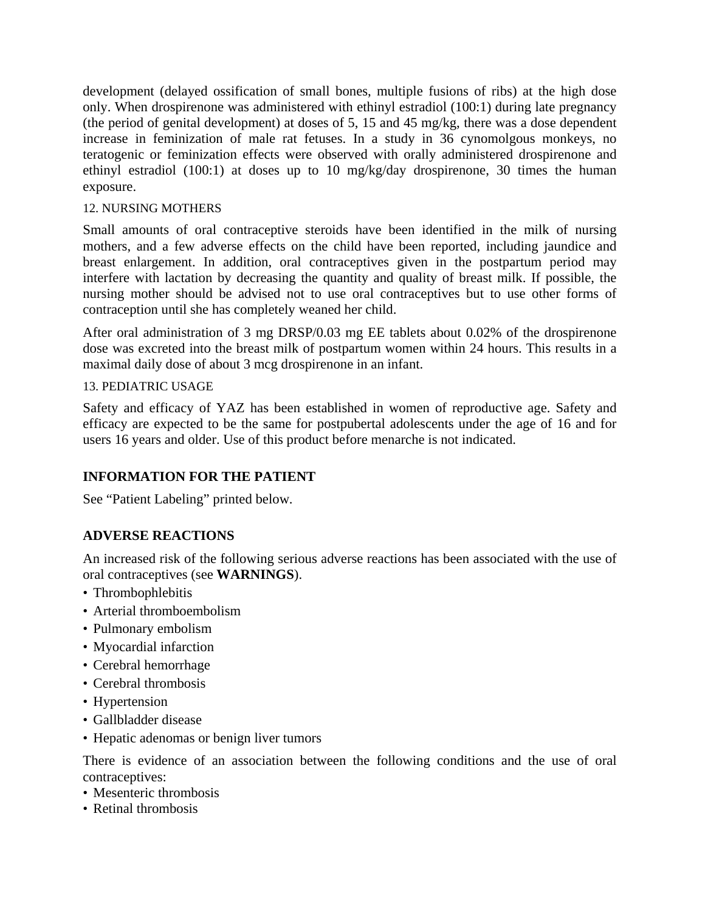development (delayed ossification of small bones, multiple fusions of ribs) at the high dose only. When drospirenone was administered with ethinyl estradiol (100:1) during late pregnancy (the period of genital development) at doses of 5, 15 and 45 mg/kg, there was a dose dependent increase in feminization of male rat fetuses. In a study in 36 cynomolgous monkeys, no teratogenic or feminization effects were observed with orally administered drospirenone and ethinyl estradiol (100:1) at doses up to 10 mg/kg/day drospirenone, 30 times the human exposure.

## 12. NURSING MOTHERS

Small amounts of oral contraceptive steroids have been identified in the milk of nursing mothers, and a few adverse effects on the child have been reported, including jaundice and breast enlargement. In addition, oral contraceptives given in the postpartum period may interfere with lactation by decreasing the quantity and quality of breast milk. If possible, the nursing mother should be advised not to use oral contraceptives but to use other forms of contraception until she has completely weaned her child.

After oral administration of 3 mg DRSP/0.03 mg EE tablets about 0.02% of the drospirenone dose was excreted into the breast milk of postpartum women within 24 hours. This results in a maximal daily dose of about 3 mcg drospirenone in an infant.

## 13. PEDIATRIC USAGE

Safety and efficacy of YAZ has been established in women of reproductive age. Safety and efficacy are expected to be the same for postpubertal adolescents under the age of 16 and for users 16 years and older. Use of this product before menarche is not indicated.

## **INFORMATION FOR THE PATIENT**

See "Patient Labeling" printed below.

## **ADVERSE REACTIONS**

An increased risk of the following serious adverse reactions has been associated with the use of oral contraceptives (see **WARNINGS**).

- Thrombophlebitis
- Arterial thromboembolism
- Pulmonary embolism
- Myocardial infarction
- Cerebral hemorrhage
- Cerebral thrombosis
- Hypertension
- Gallbladder disease
- Hepatic adenomas or benign liver tumors

There is evidence of an association between the following conditions and the use of oral contraceptives:

- Mesenteric thrombosis
- Retinal thrombosis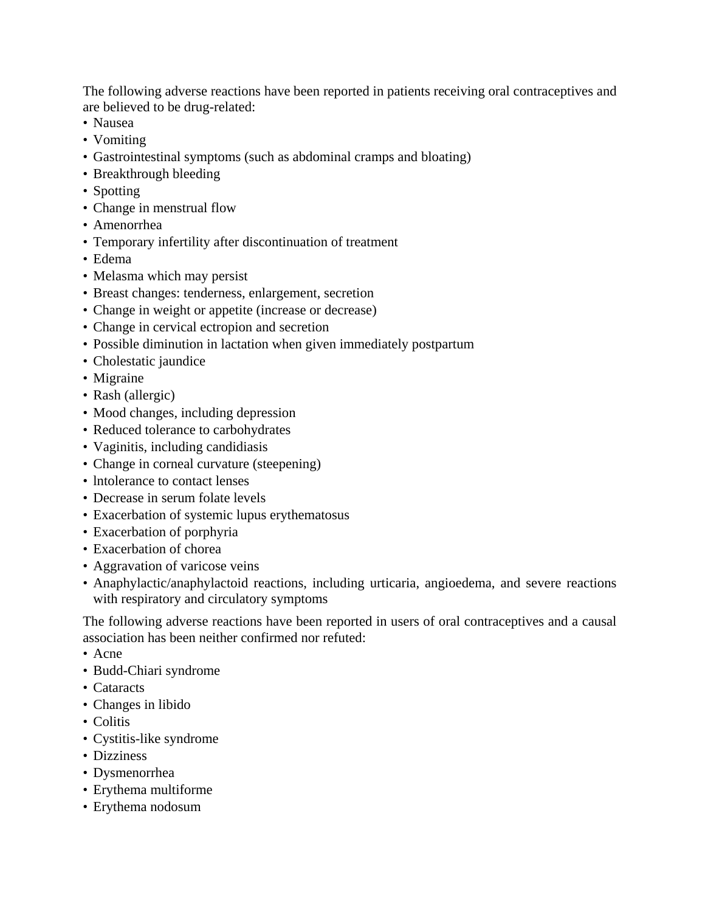The following adverse reactions have been reported in patients receiving oral contraceptives and are believed to be drug-related:

- Nausea
- Vomiting
- Gastrointestinal symptoms (such as abdominal cramps and bloating)
- Breakthrough bleeding
- Spotting
- Change in menstrual flow
- Amenorrhea
- Temporary infertility after discontinuation of treatment
- Edema
- Melasma which may persist
- Breast changes: tenderness, enlargement, secretion
- Change in weight or appetite (increase or decrease)
- Change in cervical ectropion and secretion
- Possible diminution in lactation when given immediately postpartum
- Cholestatic jaundice
- Migraine
- Rash (allergic)
- Mood changes, including depression
- Reduced tolerance to carbohydrates
- Vaginitis, including candidiasis
- Change in corneal curvature (steepening)
- Intolerance to contact lenses
- Decrease in serum folate levels
- Exacerbation of systemic lupus erythematosus
- Exacerbation of porphyria
- Exacerbation of chorea
- Aggravation of varicose veins
- Anaphylactic/anaphylactoid reactions, including urticaria, angioedema, and severe reactions with respiratory and circulatory symptoms

The following adverse reactions have been reported in users of oral contraceptives and a causal association has been neither confirmed nor refuted:

- Acne
- Budd-Chiari syndrome
- Cataracts
- Changes in libido
- Colitis
- Cystitis-like syndrome
- Dizziness
- Dysmenorrhea
- Erythema multiforme
- Erythema nodosum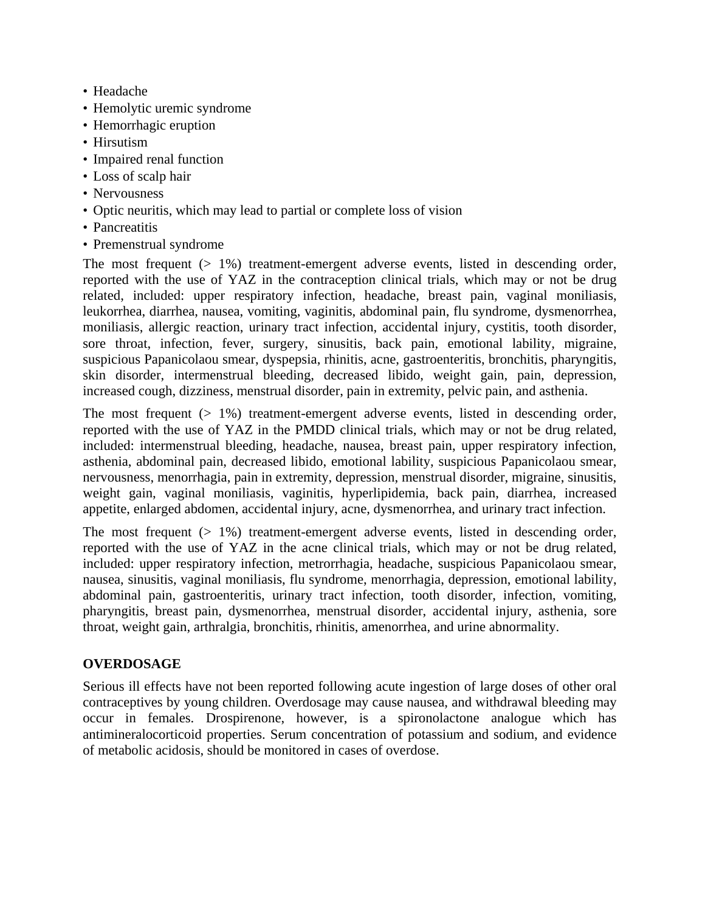- Headache
- Hemolytic uremic syndrome
- Hemorrhagic eruption
- Hirsutism
- Impaired renal function
- Loss of scalp hair
- Nervousness
- Optic neuritis, which may lead to partial or complete loss of vision
- Pancreatitis
- Premenstrual syndrome

The most frequent (> 1%) treatment-emergent adverse events, listed in descending order, reported with the use of YAZ in the contraception clinical trials, which may or not be drug related, included: upper respiratory infection, headache, breast pain, vaginal moniliasis, leukorrhea, diarrhea, nausea, vomiting, vaginitis, abdominal pain, flu syndrome, dysmenorrhea, moniliasis, allergic reaction, urinary tract infection, accidental injury, cystitis, tooth disorder, sore throat, infection, fever, surgery, sinusitis, back pain, emotional lability, migraine, suspicious Papanicolaou smear, dyspepsia, rhinitis, acne, gastroenteritis, bronchitis, pharyngitis, skin disorder, intermenstrual bleeding, decreased libido, weight gain, pain, depression, increased cough, dizziness, menstrual disorder, pain in extremity, pelvic pain, and asthenia.

The most frequent  $(1\%)$  treatment-emergent adverse events, listed in descending order, reported with the use of YAZ in the PMDD clinical trials, which may or not be drug related, included: intermenstrual bleeding, headache, nausea, breast pain, upper respiratory infection, asthenia, abdominal pain, decreased libido, emotional lability, suspicious Papanicolaou smear, nervousness, menorrhagia, pain in extremity, depression, menstrual disorder, migraine, sinusitis, weight gain, vaginal moniliasis, vaginitis, hyperlipidemia, back pain, diarrhea, increased appetite, enlarged abdomen, accidental injury, acne, dysmenorrhea, and urinary tract infection.

The most frequent (> 1%) treatment-emergent adverse events, listed in descending order, reported with the use of YAZ in the acne clinical trials, which may or not be drug related, included: upper respiratory infection, metrorrhagia, headache, suspicious Papanicolaou smear, nausea, sinusitis, vaginal moniliasis, flu syndrome, menorrhagia, depression, emotional lability, abdominal pain, gastroenteritis, urinary tract infection, tooth disorder, infection, vomiting, pharyngitis, breast pain, dysmenorrhea, menstrual disorder, accidental injury, asthenia, sore throat, weight gain, arthralgia, bronchitis, rhinitis, amenorrhea, and urine abnormality.

## **OVERDOSAGE**

Serious ill effects have not been reported following acute ingestion of large doses of other oral contraceptives by young children. Overdosage may cause nausea, and withdrawal bleeding may occur in females. Drospirenone, however, is a spironolactone analogue which has antimineralocorticoid properties. Serum concentration of potassium and sodium, and evidence of metabolic acidosis, should be monitored in cases of overdose.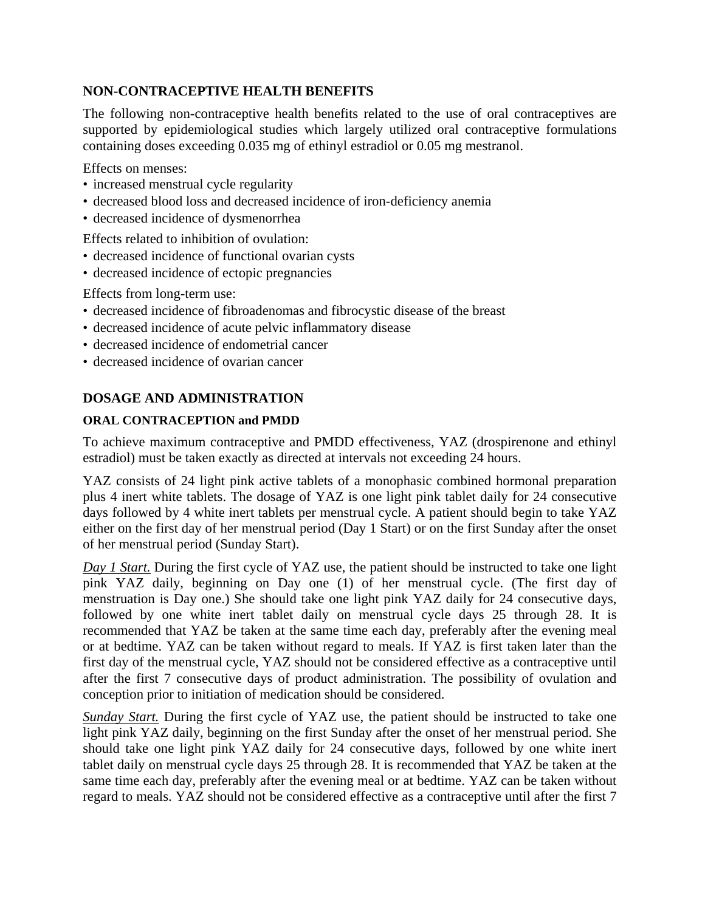## **NON-CONTRACEPTIVE HEALTH BENEFITS**

The following non-contraceptive health benefits related to the use of oral contraceptives are supported by epidemiological studies which largely utilized oral contraceptive formulations containing doses exceeding 0.035 mg of ethinyl estradiol or 0.05 mg mestranol.

Effects on menses:

- increased menstrual cycle regularity
- decreased blood loss and decreased incidence of iron-deficiency anemia
- decreased incidence of dysmenorrhea

Effects related to inhibition of ovulation:

- decreased incidence of functional ovarian cysts
- decreased incidence of ectopic pregnancies

Effects from long-term use:

- decreased incidence of fibroadenomas and fibrocystic disease of the breast
- decreased incidence of acute pelvic inflammatory disease
- decreased incidence of endometrial cancer
- decreased incidence of ovarian cancer

# **DOSAGE AND ADMINISTRATION**

## **ORAL CONTRACEPTION and PMDD**

To achieve maximum contraceptive and PMDD effectiveness, YAZ (drospirenone and ethinyl estradiol) must be taken exactly as directed at intervals not exceeding 24 hours.

YAZ consists of 24 light pink active tablets of a monophasic combined hormonal preparation plus 4 inert white tablets. The dosage of YAZ is one light pink tablet daily for 24 consecutive days followed by 4 white inert tablets per menstrual cycle. A patient should begin to take YAZ either on the first day of her menstrual period (Day 1 Start) or on the first Sunday after the onset of her menstrual period (Sunday Start).

*Day 1 Start.* During the first cycle of YAZ use, the patient should be instructed to take one light pink YAZ daily, beginning on Day one (1) of her menstrual cycle. (The first day of menstruation is Day one.) She should take one light pink YAZ daily for 24 consecutive days, followed by one white inert tablet daily on menstrual cycle days 25 through 28. It is recommended that YAZ be taken at the same time each day, preferably after the evening meal or at bedtime. YAZ can be taken without regard to meals. If YAZ is first taken later than the first day of the menstrual cycle, YAZ should not be considered effective as a contraceptive until after the first 7 consecutive days of product administration. The possibility of ovulation and conception prior to initiation of medication should be considered.

*Sunday Start.* During the first cycle of YAZ use, the patient should be instructed to take one light pink YAZ daily, beginning on the first Sunday after the onset of her menstrual period. She should take one light pink YAZ daily for 24 consecutive days, followed by one white inert tablet daily on menstrual cycle days 25 through 28. It is recommended that YAZ be taken at the same time each day, preferably after the evening meal or at bedtime. YAZ can be taken without regard to meals. YAZ should not be considered effective as a contraceptive until after the first 7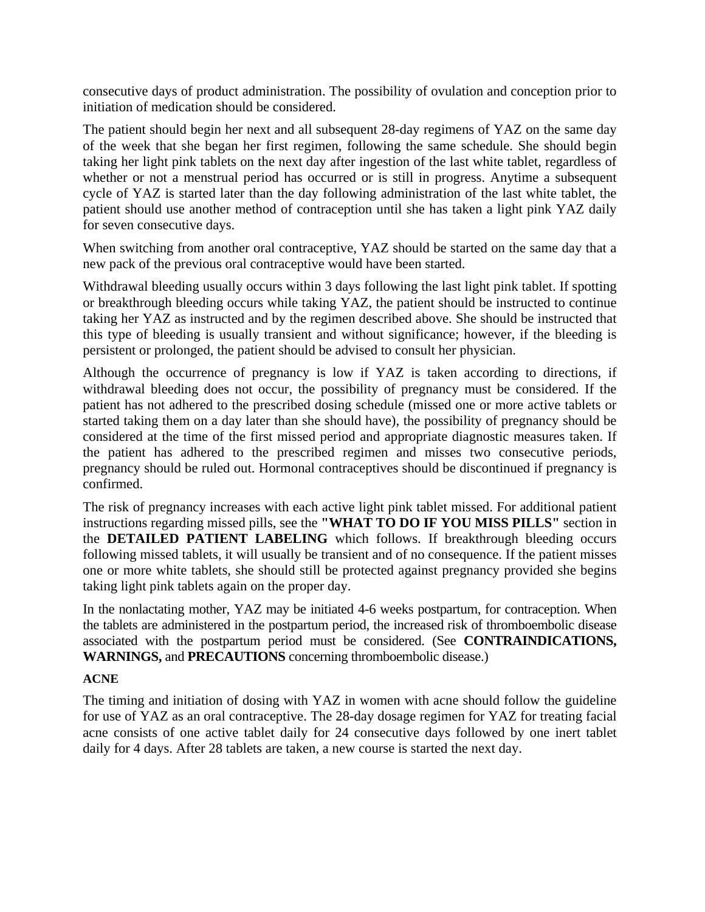consecutive days of product administration. The possibility of ovulation and conception prior to initiation of medication should be considered.

The patient should begin her next and all subsequent 28-day regimens of YAZ on the same day of the week that she began her first regimen, following the same schedule. She should begin taking her light pink tablets on the next day after ingestion of the last white tablet, regardless of whether or not a menstrual period has occurred or is still in progress. Anytime a subsequent cycle of YAZ is started later than the day following administration of the last white tablet, the patient should use another method of contraception until she has taken a light pink YAZ daily for seven consecutive days.

When switching from another oral contraceptive, YAZ should be started on the same day that a new pack of the previous oral contraceptive would have been started.

Withdrawal bleeding usually occurs within 3 days following the last light pink tablet. If spotting or breakthrough bleeding occurs while taking YAZ, the patient should be instructed to continue taking her YAZ as instructed and by the regimen described above. She should be instructed that this type of bleeding is usually transient and without significance; however, if the bleeding is persistent or prolonged, the patient should be advised to consult her physician.

Although the occurrence of pregnancy is low if YAZ is taken according to directions, if withdrawal bleeding does not occur, the possibility of pregnancy must be considered. If the patient has not adhered to the prescribed dosing schedule (missed one or more active tablets or started taking them on a day later than she should have), the possibility of pregnancy should be considered at the time of the first missed period and appropriate diagnostic measures taken. If the patient has adhered to the prescribed regimen and misses two consecutive periods, pregnancy should be ruled out. Hormonal contraceptives should be discontinued if pregnancy is confirmed.

The risk of pregnancy increases with each active light pink tablet missed. For additional patient instructions regarding missed pills, see the **"WHAT TO DO IF YOU MISS PILLS"** section in the **DETAILED PATIENT LABELING** which follows. If breakthrough bleeding occurs following missed tablets, it will usually be transient and of no consequence. If the patient misses one or more white tablets, she should still be protected against pregnancy provided she begins taking light pink tablets again on the proper day.

In the nonlactating mother, YAZ may be initiated 4-6 weeks postpartum, for contraception. When the tablets are administered in the postpartum period, the increased risk of thromboembolic disease associated with the postpartum period must be considered. (See **CONTRAINDICATIONS, WARNINGS,** and **PRECAUTIONS** concerning thromboembolic disease.)

## **ACNE**

The timing and initiation of dosing with YAZ in women with acne should follow the guideline for use of YAZ as an oral contraceptive. The 28-day dosage regimen for YAZ for treating facial acne consists of one active tablet daily for 24 consecutive days followed by one inert tablet daily for 4 days. After 28 tablets are taken, a new course is started the next day.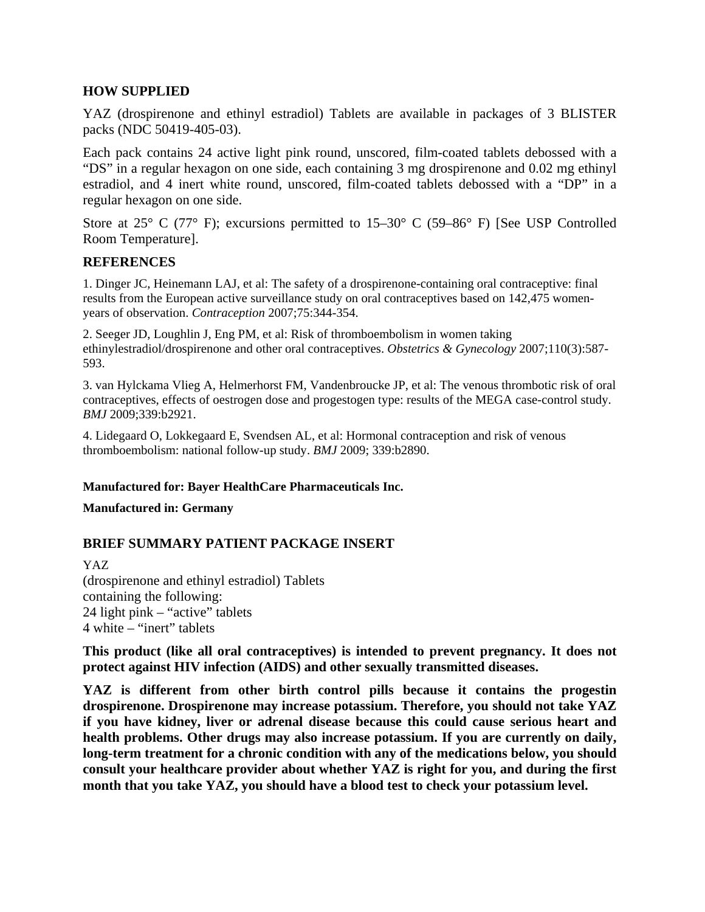## **HOW SUPPLIED**

YAZ (drospirenone and ethinyl estradiol) Tablets are available in packages of 3 BLISTER packs (NDC 50419-405-03).

Each pack contains 24 active light pink round, unscored, film-coated tablets debossed with a "DS" in a regular hexagon on one side, each containing 3 mg drospirenone and 0.02 mg ethinyl estradiol, and 4 inert white round, unscored, film-coated tablets debossed with a "DP" in a regular hexagon on one side.

Store at 25 $\degree$  C (77 $\degree$  F); excursions permitted to 15–30 $\degree$  C (59–86 $\degree$  F) [See USP Controlled Room Temperature].

## **REFERENCES**

1. Dinger JC, Heinemann LAJ, et al: The safety of a drospirenone-containing oral contraceptive: final results from the European active surveillance study on oral contraceptives based on 142,475 womenyears of observation. *Contraception* 2007;75:344-354.

2. Seeger JD, Loughlin J, Eng PM, et al: Risk of thromboembolism in women taking ethinylestradiol/drospirenone and other oral contraceptives. *Obstetrics & Gynecology* 2007;110(3):587 593.

3. van Hylckama Vlieg A, Helmerhorst FM, Vandenbroucke JP, et al: The venous thrombotic risk of oral contraceptives, effects of oestrogen dose and progestogen type: results of the MEGA case-control study. *BMJ* 2009;339:b2921.

4. Lidegaard O, Lokkegaard E, Svendsen AL, et al: Hormonal contraception and risk of venous thromboembolism: national follow-up study. *BMJ* 2009; 339:b2890.

## **Manufactured for: Bayer HealthCare Pharmaceuticals Inc.**

**Manufactured in: Germany** 

## **BRIEF SUMMARY PATIENT PACKAGE INSERT**

YAZ (drospirenone and ethinyl estradiol) Tablets containing the following: 24 light pink – "active" tablets 4 white – "inert" tablets

**This product (like all oral contraceptives) is intended to prevent pregnancy. It does not protect against HIV infection (AIDS) and other sexually transmitted diseases.** 

**YAZ is different from other birth control pills because it contains the progestin drospirenone. Drospirenone may increase potassium. Therefore, you should not take YAZ if you have kidney, liver or adrenal disease because this could cause serious heart and health problems. Other drugs may also increase potassium. If you are currently on daily, long-term treatment for a chronic condition with any of the medications below, you should consult your healthcare provider about whether YAZ is right for you, and during the first month that you take YAZ, you should have a blood test to check your potassium level.**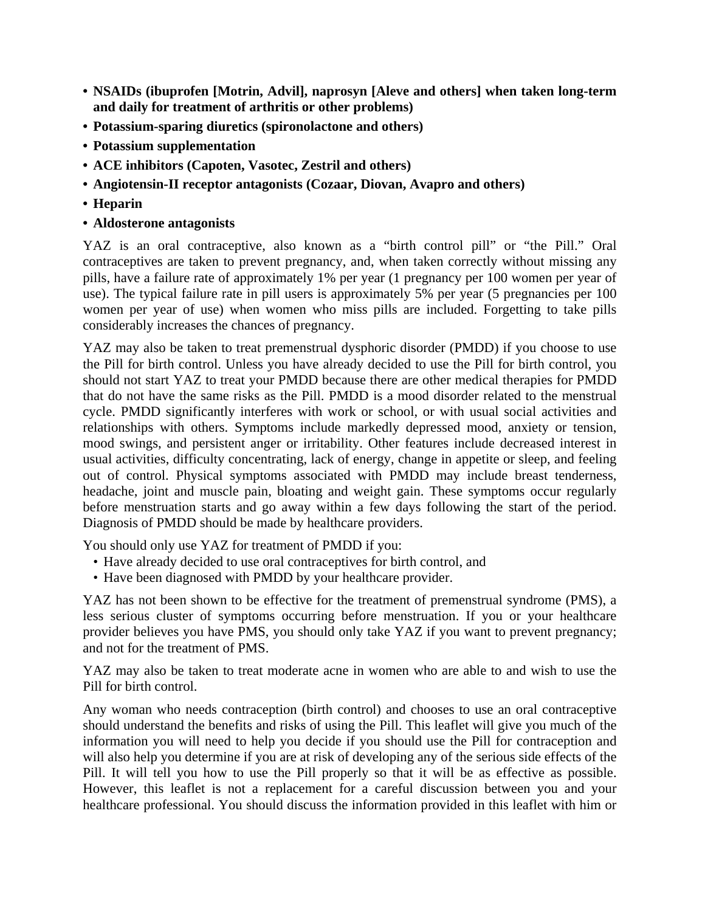- **NSAIDs (ibuprofen [Motrin, Advil], naprosyn [Aleve and others] when taken long-term and daily for treatment of arthritis or other problems)**
- **Potassium-sparing diuretics (spironolactone and others)**
- **Potassium supplementation**
- **ACE inhibitors (Capoten, Vasotec, Zestril and others)**
- **Angiotensin-II receptor antagonists (Cozaar, Diovan, Avapro and others)**
- **Heparin**
- **Aldosterone antagonists**

YAZ is an oral contraceptive, also known as a "birth control pill" or "the Pill." Oral contraceptives are taken to prevent pregnancy, and, when taken correctly without missing any pills, have a failure rate of approximately 1% per year (1 pregnancy per 100 women per year of use). The typical failure rate in pill users is approximately 5% per year (5 pregnancies per 100 women per year of use) when women who miss pills are included. Forgetting to take pills considerably increases the chances of pregnancy.

YAZ may also be taken to treat premenstrual dysphoric disorder (PMDD) if you choose to use the Pill for birth control. Unless you have already decided to use the Pill for birth control, you should not start YAZ to treat your PMDD because there are other medical therapies for PMDD that do not have the same risks as the Pill. PMDD is a mood disorder related to the menstrual cycle. PMDD significantly interferes with work or school, or with usual social activities and relationships with others. Symptoms include markedly depressed mood, anxiety or tension, mood swings, and persistent anger or irritability. Other features include decreased interest in usual activities, difficulty concentrating, lack of energy, change in appetite or sleep, and feeling out of control. Physical symptoms associated with PMDD may include breast tenderness, headache, joint and muscle pain, bloating and weight gain. These symptoms occur regularly before menstruation starts and go away within a few days following the start of the period. Diagnosis of PMDD should be made by healthcare providers.

You should only use YAZ for treatment of PMDD if you:

- Have already decided to use oral contraceptives for birth control, and
- Have been diagnosed with PMDD by your healthcare provider.

YAZ has not been shown to be effective for the treatment of premenstrual syndrome (PMS), a less serious cluster of symptoms occurring before menstruation. If you or your healthcare provider believes you have PMS, you should only take YAZ if you want to prevent pregnancy; and not for the treatment of PMS.

YAZ may also be taken to treat moderate acne in women who are able to and wish to use the Pill for birth control.

Any woman who needs contraception (birth control) and chooses to use an oral contraceptive should understand the benefits and risks of using the Pill. This leaflet will give you much of the information you will need to help you decide if you should use the Pill for contraception and will also help you determine if you are at risk of developing any of the serious side effects of the Pill. It will tell you how to use the Pill properly so that it will be as effective as possible. However, this leaflet is not a replacement for a careful discussion between you and your healthcare professional. You should discuss the information provided in this leaflet with him or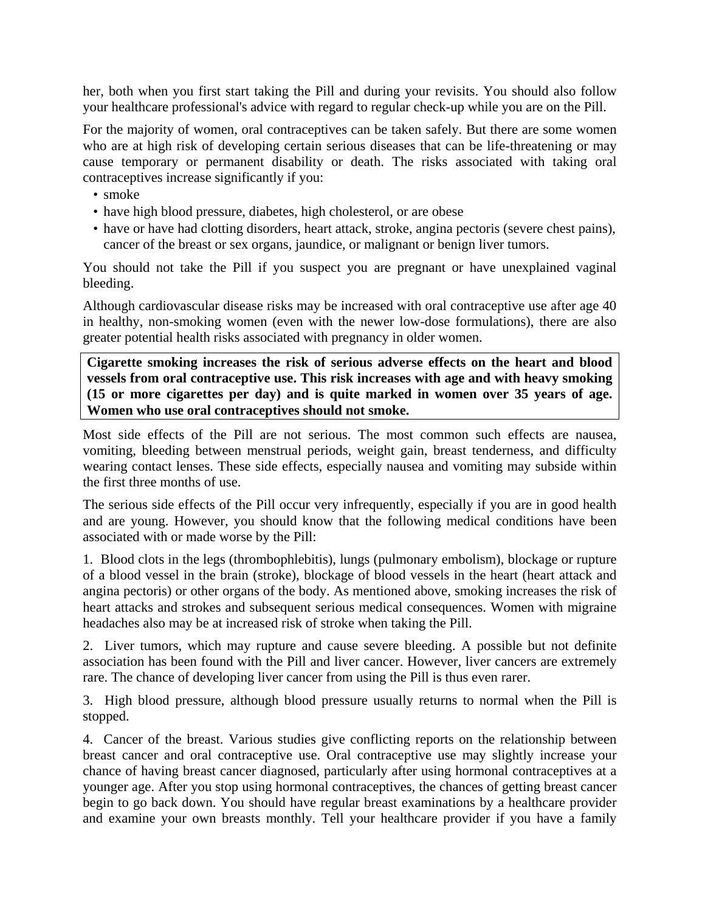her, both when you first start taking the Pill and during your revisits. You should also follow your healthcare professional's advice with regard to regular check-up while you are on the Pill.

For the majority of women, oral contraceptives can be taken safely. But there are some women who are at high risk of developing certain serious diseases that can be life-threatening or may cause temporary or permanent disability or death. The risks associated with taking oral contraceptives increase significantly if you:

- smoke
- have high blood pressure, diabetes, high cholesterol, or are obese
- have or have had clotting disorders, heart attack, stroke, angina pectoris (severe chest pains), cancer of the breast or sex organs, jaundice, or malignant or benign liver tumors.

You should not take the Pill if you suspect you are pregnant or have unexplained vaginal bleeding.

Although cardiovascular disease risks may be increased with oral contraceptive use after age 40 in healthy, non-smoking women (even with the newer low-dose formulations), there are also greater potential health risks associated with pregnancy in older women.

**Cigarette smoking increases the risk of serious adverse effects on the heart and blood vessels from oral contraceptive use. This risk increases with age and with heavy smoking (15 or more cigarettes per day) and is quite marked in women over 35 years of age. Women who use oral contraceptives should not smoke.** 

Most side effects of the Pill are not serious. The most common such effects are nausea, vomiting, bleeding between menstrual periods, weight gain, breast tenderness, and difficulty wearing contact lenses. These side effects, especially nausea and vomiting may subside within the first three months of use.

The serious side effects of the Pill occur very infrequently, especially if you are in good health and are young. However, you should know that the following medical conditions have been associated with or made worse by the Pill:

1. Blood clots in the legs (thrombophlebitis), lungs (pulmonary embolism), blockage or rupture of a blood vessel in the brain (stroke), blockage of blood vessels in the heart (heart attack and angina pectoris) or other organs of the body. As mentioned above, smoking increases the risk of heart attacks and strokes and subsequent serious medical consequences. Women with migraine headaches also may be at increased risk of stroke when taking the Pill.

2. Liver tumors, which may rupture and cause severe bleeding. A possible but not definite association has been found with the Pill and liver cancer. However, liver cancers are extremely rare. The chance of developing liver cancer from using the Pill is thus even rarer.

3. High blood pressure, although blood pressure usually returns to normal when the Pill is stopped.

4. Cancer of the breast. Various studies give conflicting reports on the relationship between breast cancer and oral contraceptive use. Oral contraceptive use may slightly increase your chance of having breast cancer diagnosed, particularly after using hormonal contraceptives at a younger age. After you stop using hormonal contraceptives, the chances of getting breast cancer begin to go back down. You should have regular breast examinations by a healthcare provider and examine your own breasts monthly. Tell your healthcare provider if you have a family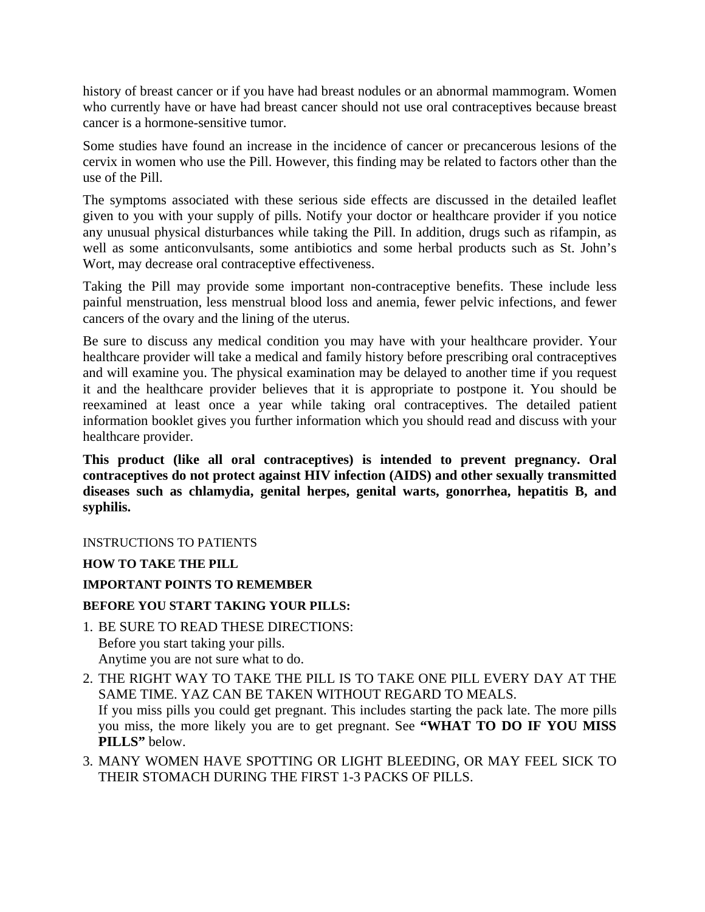history of breast cancer or if you have had breast nodules or an abnormal mammogram. Women who currently have or have had breast cancer should not use oral contraceptives because breast cancer is a hormone-sensitive tumor.

Some studies have found an increase in the incidence of cancer or precancerous lesions of the cervix in women who use the Pill. However, this finding may be related to factors other than the use of the Pill.

The symptoms associated with these serious side effects are discussed in the detailed leaflet given to you with your supply of pills. Notify your doctor or healthcare provider if you notice any unusual physical disturbances while taking the Pill. In addition, drugs such as rifampin, as well as some anticonvulsants, some antibiotics and some herbal products such as St. John's Wort, may decrease oral contraceptive effectiveness.

Taking the Pill may provide some important non-contraceptive benefits. These include less painful menstruation, less menstrual blood loss and anemia, fewer pelvic infections, and fewer cancers of the ovary and the lining of the uterus.

Be sure to discuss any medical condition you may have with your healthcare provider. Your healthcare provider will take a medical and family history before prescribing oral contraceptives and will examine you. The physical examination may be delayed to another time if you request it and the healthcare provider believes that it is appropriate to postpone it. You should be reexamined at least once a year while taking oral contraceptives. The detailed patient information booklet gives you further information which you should read and discuss with your healthcare provider.

**This product (like all oral contraceptives) is intended to prevent pregnancy. Oral contraceptives do not protect against HIV infection (AIDS) and other sexually transmitted diseases such as chlamydia, genital herpes, genital warts, gonorrhea, hepatitis B, and syphilis.** 

INSTRUCTIONS TO PATIENTS

## **HOW TO TAKE THE PILL**

#### **IMPORTANT POINTS TO REMEMBER**

## **BEFORE YOU START TAKING YOUR PILLS:**

- 1. BE SURE TO READ THESE DIRECTIONS: Before you start taking your pills. Anytime you are not sure what to do.
- 2. THE RIGHT WAY TO TAKE THE PILL IS TO TAKE ONE PILL EVERY DAY AT THE SAME TIME. YAZ CAN BE TAKEN WITHOUT REGARD TO MEALS. If you miss pills you could get pregnant. This includes starting the pack late. The more pills you miss, the more likely you are to get pregnant. See **"WHAT TO DO IF YOU MISS PILLS"** below.
- 3. MANY WOMEN HAVE SPOTTING OR LIGHT BLEEDING, OR MAY FEEL SICK TO THEIR STOMACH DURING THE FIRST 1-3 PACKS OF PILLS.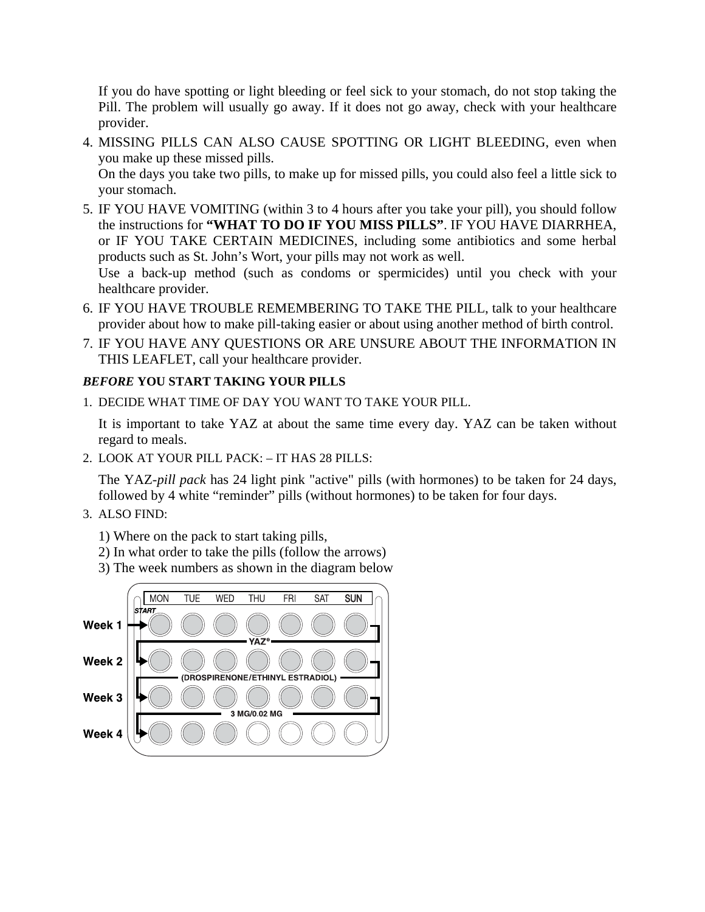If you do have spotting or light bleeding or feel sick to your stomach, do not stop taking the Pill. The problem will usually go away. If it does not go away, check with your healthcare provider.

- 4. MISSING PILLS CAN ALSO CAUSE SPOTTING OR LIGHT BLEEDING, even when you make up these missed pills. On the days you take two pills, to make up for missed pills, you could also feel a little sick to your stomach.
- 5. IF YOU HAVE VOMITING (within 3 to 4 hours after you take your pill), you should follow the instructions for **"WHAT TO DO IF YOU MISS PILLS"**. IF YOU HAVE DIARRHEA, or IF YOU TAKE CERTAIN MEDICINES, including some antibiotics and some herbal products such as St. John's Wort, your pills may not work as well.

Use a back-up method (such as condoms or spermicides) until you check with your healthcare provider.

- 6. IF YOU HAVE TROUBLE REMEMBERING TO TAKE THE PILL, talk to your healthcare provider about how to make pill-taking easier or about using another method of birth control.
- 7. IF YOU HAVE ANY QUESTIONS OR ARE UNSURE ABOUT THE INFORMATION IN THIS LEAFLET, call your healthcare provider.

## *BEFORE* **YOU START TAKING YOUR PILLS**

1. DECIDE WHAT TIME OF DAY YOU WANT TO TAKE YOUR PILL.

It is important to take YAZ at about the same time every day. YAZ can be taken without regard to meals.

2. LOOK AT YOUR PILL PACK: – IT HAS 28 PILLS:

 The YAZ-*pill pack* has 24 light pink "active" pills (with hormones) to be taken for 24 days, followed by 4 white "reminder" pills (without hormones) to be taken for four days.

- 3. ALSO FIND:
	- 1) Where on the pack to start taking pills,
	- 2) In what order to take the pills (follow the arrows)
	- 3) The week numbers as shown in the diagram below

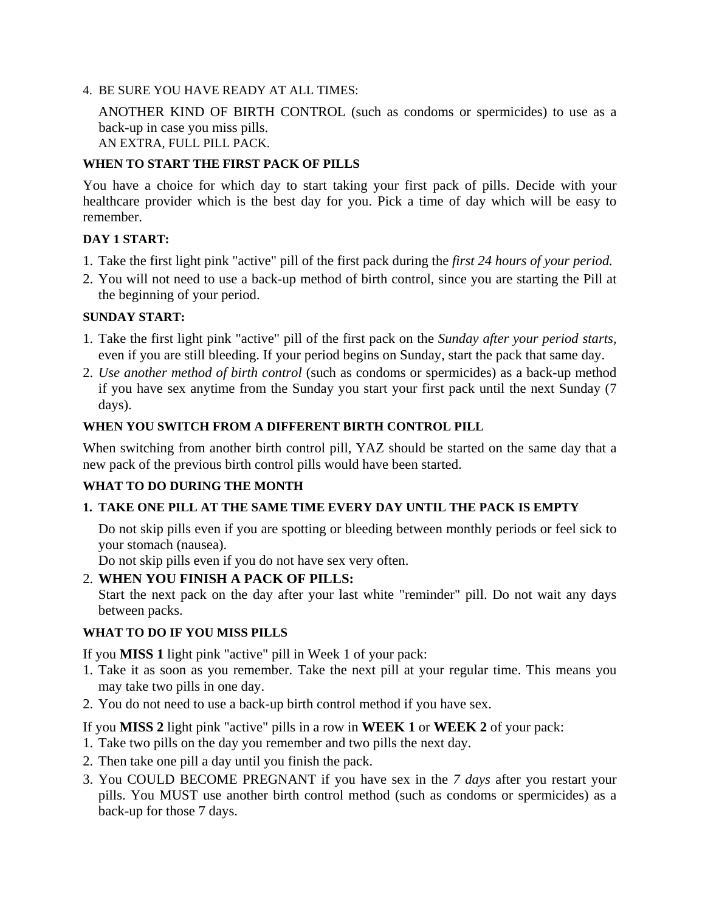### 4. BE SURE YOU HAVE READY AT ALL TIMES:

ANOTHER KIND OF BIRTH CONTROL (such as condoms or spermicides) to use as a back-up in case you miss pills. AN EXTRA, FULL PILL PACK.

## **WHEN TO START THE FIRST PACK OF PILLS**

You have a choice for which day to start taking your first pack of pills. Decide with your healthcare provider which is the best day for you. Pick a time of day which will be easy to remember.

### **DAY 1 START:**

- 1. Take the first light pink "active" pill of the first pack during the *first 24 hours of your period.*
- 2. You will not need to use a back-up method of birth control, since you are starting the Pill at the beginning of your period.

### **SUNDAY START:**

- 1. Take the first light pink "active" pill of the first pack on the *Sunday after your period starts,*  even if you are still bleeding. If your period begins on Sunday, start the pack that same day.
- 2. *Use another method of birth control* (such as condoms or spermicides) as a back-up method if you have sex anytime from the Sunday you start your first pack until the next Sunday (7 days).

### **WHEN YOU SWITCH FROM A DIFFERENT BIRTH CONTROL PILL**

When switching from another birth control pill, YAZ should be started on the same day that a new pack of the previous birth control pills would have been started.

## **WHAT TO DO DURING THE MONTH**

## **1. TAKE ONE PILL AT THE SAME TIME EVERY DAY UNTIL THE PACK IS EMPTY**

Do not skip pills even if you are spotting or bleeding between monthly periods or feel sick to your stomach (nausea).

Do not skip pills even if you do not have sex very often.

## 2. **WHEN YOU FINISH A PACK OF PILLS:**

Start the next pack on the day after your last white "reminder" pill. Do not wait any days between packs.

## **WHAT TO DO IF YOU MISS PILLS**

If you **MISS 1** light pink "active" pill in Week 1 of your pack:

- 1. Take it as soon as you remember. Take the next pill at your regular time. This means you may take two pills in one day.
- 2. You do not need to use a back-up birth control method if you have sex.

## If you **MISS 2** light pink "active" pills in a row in **WEEK 1** or **WEEK 2** of your pack:

- 1. Take two pills on the day you remember and two pills the next day.
- 2. Then take one pill a day until you finish the pack.
- 3. You COULD BECOME PREGNANT if you have sex in the *7 days* after you restart your pills. You MUST use another birth control method (such as condoms or spermicides) as a back-up for those 7 days.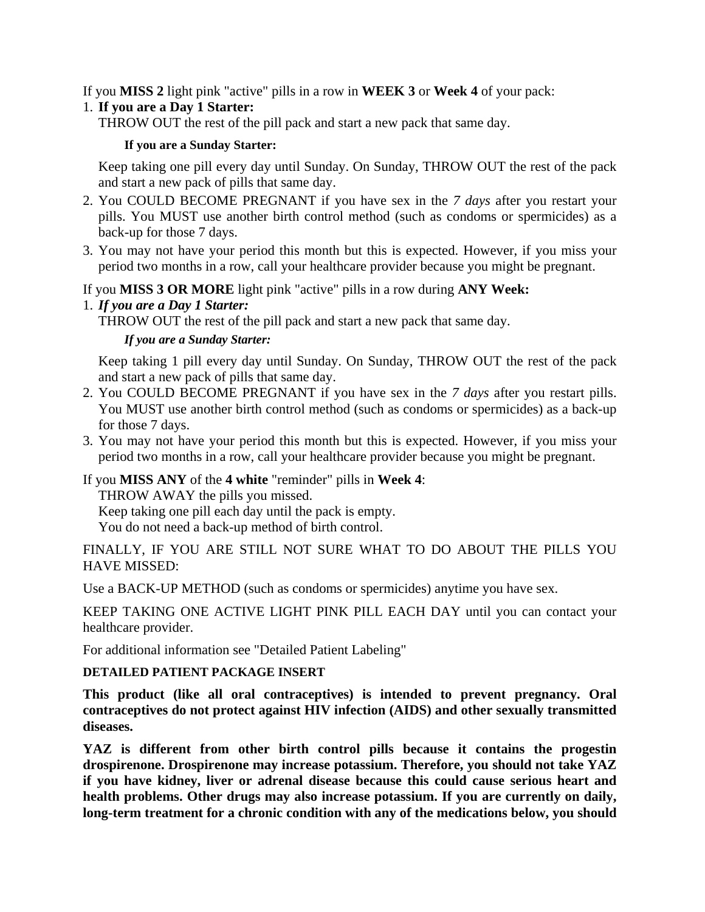If you **MISS 2** light pink "active" pills in a row in **WEEK 3** or **Week 4** of your pack:

## 1. **If you are a Day 1 Starter:**

THROW OUT the rest of the pill pack and start a new pack that same day.

## **If you are a Sunday Starter:**

Keep taking one pill every day until Sunday. On Sunday, THROW OUT the rest of the pack and start a new pack of pills that same day.

- 2. You COULD BECOME PREGNANT if you have sex in the *7 days* after you restart your pills. You MUST use another birth control method (such as condoms or spermicides) as a back-up for those 7 days.
- 3. You may not have your period this month but this is expected. However, if you miss your period two months in a row, call your healthcare provider because you might be pregnant.

## If you **MISS 3 OR MORE** light pink "active" pills in a row during **ANY Week:**

## 1. *If you are a Day 1 Starter:*

THROW OUT the rest of the pill pack and start a new pack that same day.

## *If you are a Sunday Starter:*

Keep taking 1 pill every day until Sunday. On Sunday, THROW OUT the rest of the pack and start a new pack of pills that same day.

- 2. You COULD BECOME PREGNANT if you have sex in the *7 days* after you restart pills. You MUST use another birth control method (such as condoms or spermicides) as a back-up for those 7 days.
- 3. You may not have your period this month but this is expected. However, if you miss your period two months in a row, call your healthcare provider because you might be pregnant.

## If you **MISS ANY** of the **4 white** "reminder" pills in **Week 4**:

THROW AWAY the pills you missed.

Keep taking one pill each day until the pack is empty.

You do not need a back-up method of birth control.

FINALLY, IF YOU ARE STILL NOT SURE WHAT TO DO ABOUT THE PILLS YOU HAVE MISSED:

Use a BACK-UP METHOD (such as condoms or spermicides) anytime you have sex.

KEEP TAKING ONE ACTIVE LIGHT PINK PILL EACH DAY until you can contact your healthcare provider.

For additional information see "Detailed Patient Labeling"

## **DETAILED PATIENT PACKAGE INSERT**

**This product (like all oral contraceptives) is intended to prevent pregnancy. Oral contraceptives do not protect against HIV infection (AIDS) and other sexually transmitted diseases.** 

**YAZ is different from other birth control pills because it contains the progestin drospirenone. Drospirenone may increase potassium. Therefore, you should not take YAZ if you have kidney, liver or adrenal disease because this could cause serious heart and health problems. Other drugs may also increase potassium. If you are currently on daily, long-term treatment for a chronic condition with any of the medications below, you should**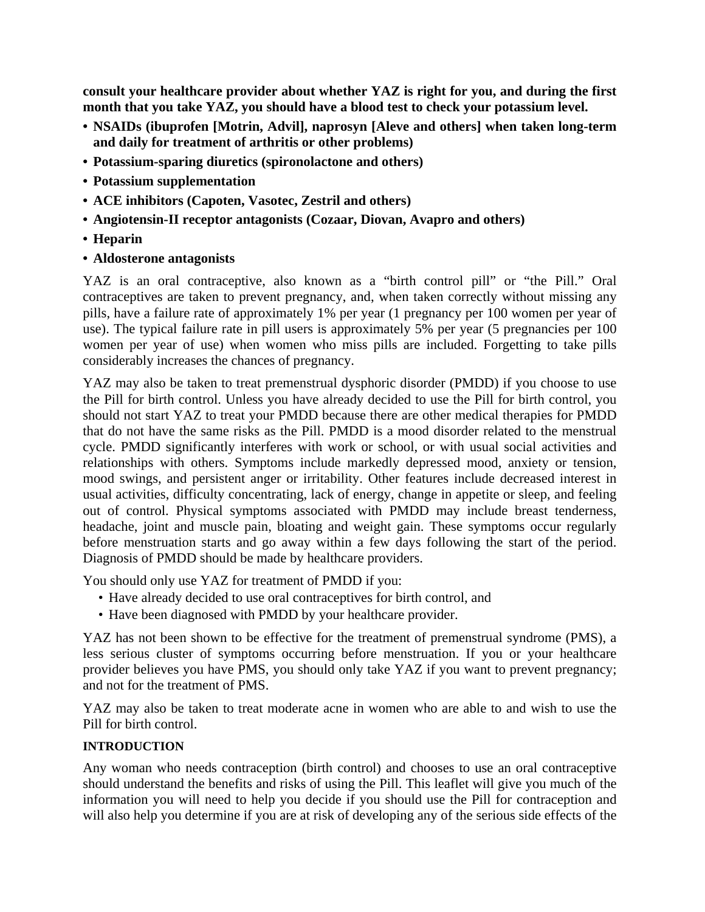**consult your healthcare provider about whether YAZ is right for you, and during the first month that you take YAZ, you should have a blood test to check your potassium level.** 

- **NSAIDs (ibuprofen [Motrin, Advil], naprosyn [Aleve and others] when taken long-term and daily for treatment of arthritis or other problems)**
- **Potassium-sparing diuretics (spironolactone and others)**
- **Potassium supplementation**
- **ACE inhibitors (Capoten, Vasotec, Zestril and others)**
- **Angiotensin-II receptor antagonists (Cozaar, Diovan, Avapro and others)**
- **Heparin**
- **Aldosterone antagonists**

YAZ is an oral contraceptive, also known as a "birth control pill" or "the Pill." Oral contraceptives are taken to prevent pregnancy, and, when taken correctly without missing any pills, have a failure rate of approximately 1% per year (1 pregnancy per 100 women per year of use). The typical failure rate in pill users is approximately 5% per year (5 pregnancies per 100 women per year of use) when women who miss pills are included. Forgetting to take pills considerably increases the chances of pregnancy.

YAZ may also be taken to treat premenstrual dysphoric disorder (PMDD) if you choose to use the Pill for birth control. Unless you have already decided to use the Pill for birth control, you should not start YAZ to treat your PMDD because there are other medical therapies for PMDD that do not have the same risks as the Pill. PMDD is a mood disorder related to the menstrual cycle. PMDD significantly interferes with work or school, or with usual social activities and relationships with others. Symptoms include markedly depressed mood, anxiety or tension, mood swings, and persistent anger or irritability. Other features include decreased interest in usual activities, difficulty concentrating, lack of energy, change in appetite or sleep, and feeling out of control. Physical symptoms associated with PMDD may include breast tenderness, headache, joint and muscle pain, bloating and weight gain. These symptoms occur regularly before menstruation starts and go away within a few days following the start of the period. Diagnosis of PMDD should be made by healthcare providers.

You should only use YAZ for treatment of PMDD if you:

- Have already decided to use oral contraceptives for birth control, and
- Have been diagnosed with PMDD by your healthcare provider.

YAZ has not been shown to be effective for the treatment of premenstrual syndrome (PMS), a less serious cluster of symptoms occurring before menstruation. If you or your healthcare provider believes you have PMS, you should only take YAZ if you want to prevent pregnancy; and not for the treatment of PMS.

YAZ may also be taken to treat moderate acne in women who are able to and wish to use the Pill for birth control.

## **INTRODUCTION**

Any woman who needs contraception (birth control) and chooses to use an oral contraceptive should understand the benefits and risks of using the Pill. This leaflet will give you much of the information you will need to help you decide if you should use the Pill for contraception and will also help you determine if you are at risk of developing any of the serious side effects of the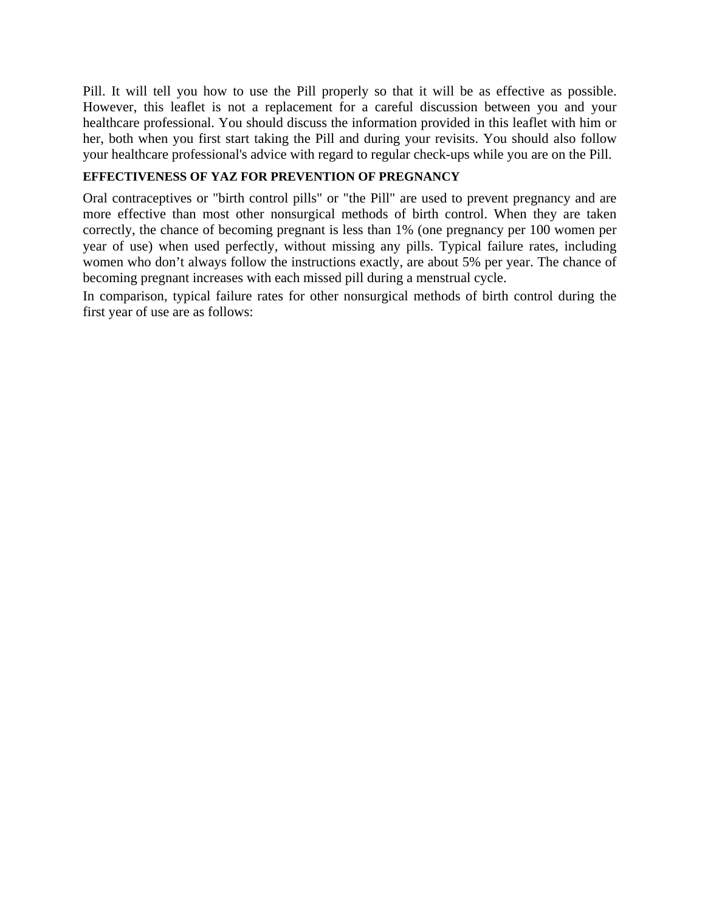Pill. It will tell you how to use the Pill properly so that it will be as effective as possible. However, this leaflet is not a replacement for a careful discussion between you and your healthcare professional. You should discuss the information provided in this leaflet with him or her, both when you first start taking the Pill and during your revisits. You should also follow your healthcare professional's advice with regard to regular check-ups while you are on the Pill.

## **EFFECTIVENESS OF YAZ FOR PREVENTION OF PREGNANCY**

Oral contraceptives or "birth control pills" or "the Pill" are used to prevent pregnancy and are more effective than most other nonsurgical methods of birth control. When they are taken correctly, the chance of becoming pregnant is less than 1% (one pregnancy per 100 women per year of use) when used perfectly, without missing any pills. Typical failure rates, including women who don't always follow the instructions exactly, are about 5% per year. The chance of becoming pregnant increases with each missed pill during a menstrual cycle.

In comparison, typical failure rates for other nonsurgical methods of birth control during the first year of use are as follows: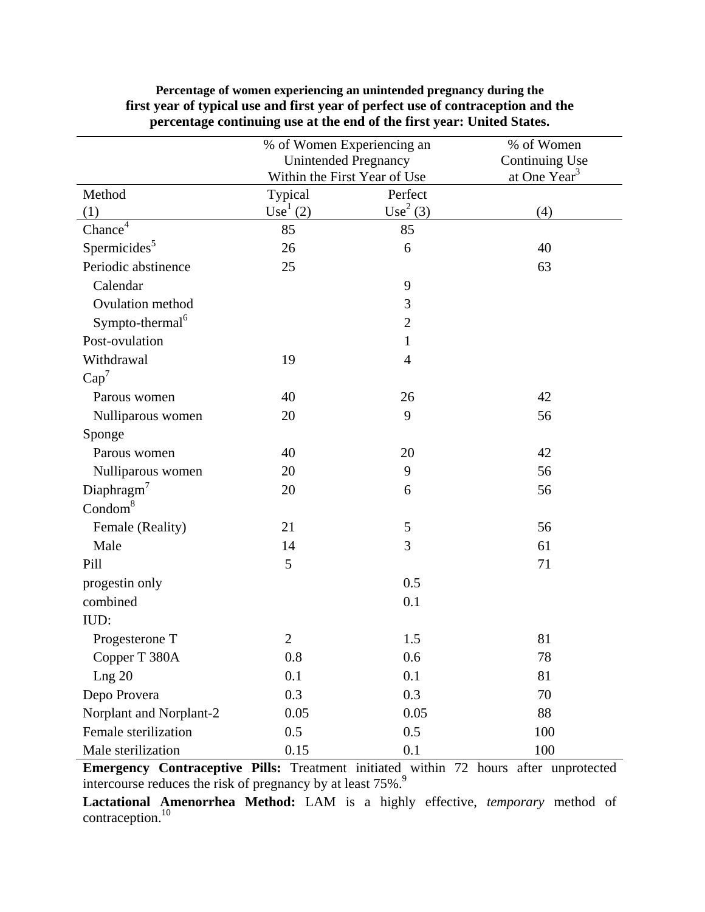|                             | % of Women Experiencing an   |                             | % of Women               |  |  |
|-----------------------------|------------------------------|-----------------------------|--------------------------|--|--|
|                             |                              | <b>Unintended Pregnancy</b> | Continuing Use           |  |  |
|                             | Within the First Year of Use |                             | at One Year <sup>3</sup> |  |  |
| Method                      | Typical                      | Perfect                     |                          |  |  |
| (1)                         | Use <sup>1</sup> (2)         | Use <sup>2</sup> (3)        | (4)                      |  |  |
| Change <sup>4</sup>         | 85                           | 85                          |                          |  |  |
| Spermicides <sup>5</sup>    | 26                           | 6                           | 40                       |  |  |
| Periodic abstinence         | 25                           |                             | 63                       |  |  |
| Calendar                    |                              | 9                           |                          |  |  |
| Ovulation method            |                              | 3                           |                          |  |  |
| Sympto-thermal <sup>6</sup> |                              | $\mathfrak{2}$              |                          |  |  |
| Post-ovulation              |                              | $\mathbf{1}$                |                          |  |  |
| Withdrawal                  | 19                           | $\overline{4}$              |                          |  |  |
| Cap <sup>7</sup>            |                              |                             |                          |  |  |
| Parous women                | 40                           | 26                          | 42                       |  |  |
| Nulliparous women           | 20                           | 9                           | 56                       |  |  |
| Sponge                      |                              |                             |                          |  |  |
| Parous women                | 40                           | 20                          | 42                       |  |  |
| Nulliparous women           | 20                           | 9                           | 56                       |  |  |
| Diaphragm <sup>7</sup>      | 20                           | 6                           | 56                       |  |  |
| Condom <sup>8</sup>         |                              |                             |                          |  |  |
| Female (Reality)            | 21                           | $\mathfrak s$               | 56                       |  |  |
| Male                        | 14                           | 3                           | 61                       |  |  |
| Pill                        | 5                            |                             | 71                       |  |  |
| progestin only              |                              | 0.5                         |                          |  |  |
| combined                    |                              | 0.1                         |                          |  |  |
| IUD:                        |                              |                             |                          |  |  |
| Progesterone T              | $\overline{2}$               | 1.5                         | 81                       |  |  |
| Copper T 380A               | 0.8                          | 0.6                         | 78                       |  |  |
| Lng 20                      | 0.1                          | 0.1                         | 81                       |  |  |
| Depo Provera                | 0.3                          | 0.3                         | 70                       |  |  |
| Norplant and Norplant-2     | 0.05                         | 0.05                        | 88                       |  |  |
| Female sterilization        | 0.5                          | 0.5                         | 100                      |  |  |
| Male sterilization          | 0.15                         | 0.1                         | 100                      |  |  |

**Percentage of women experiencing an unintended pregnancy during the first year of typical use and first year of perfect use of contraception and the percentage continuing use at the end of the first year: United States.** 

**Emergency Contraceptive Pills:** Treatment initiated within 72 hours after unprotected intercourse reduces the risk of pregnancy by at least 75%.<sup>9</sup>

**Lactational Amenorrhea Method:** LAM is a highly effective, *temporary* method of contraception.<sup>10</sup>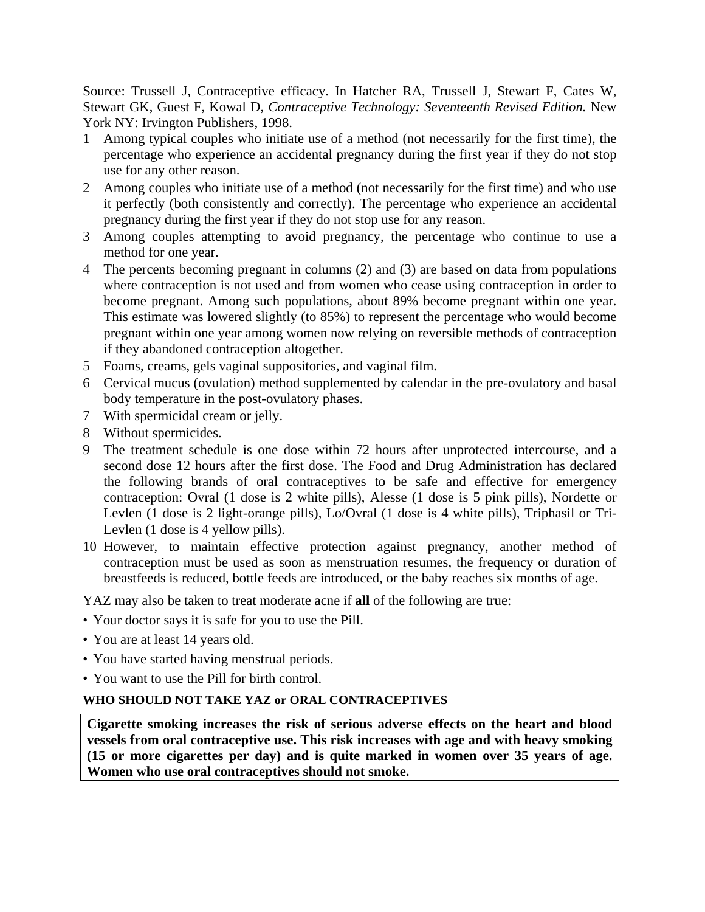Source: Trussell J, Contraceptive efficacy. In Hatcher RA, Trussell J, Stewart F, Cates W, Stewart GK, Guest F, Kowal D, *Contraceptive Technology: Seventeenth Revised Edition.* New York NY: Irvington Publishers, 1998.

- 1 Among typical couples who initiate use of a method (not necessarily for the first time), the percentage who experience an accidental pregnancy during the first year if they do not stop use for any other reason.
- 2 Among couples who initiate use of a method (not necessarily for the first time) and who use it perfectly (both consistently and correctly). The percentage who experience an accidental pregnancy during the first year if they do not stop use for any reason.
- 3 Among couples attempting to avoid pregnancy, the percentage who continue to use a method for one year.
- 4 The percents becoming pregnant in columns (2) and (3) are based on data from populations where contraception is not used and from women who cease using contraception in order to become pregnant. Among such populations, about 89% become pregnant within one year. This estimate was lowered slightly (to 85%) to represent the percentage who would become pregnant within one year among women now relying on reversible methods of contraception if they abandoned contraception altogether.
- 5 Foams, creams, gels vaginal suppositories, and vaginal film.
- 6 Cervical mucus (ovulation) method supplemented by calendar in the pre-ovulatory and basal body temperature in the post-ovulatory phases.
- 7 With spermicidal cream or jelly.
- 8 Without spermicides.
- 9 The treatment schedule is one dose within 72 hours after unprotected intercourse, and a second dose 12 hours after the first dose. The Food and Drug Administration has declared the following brands of oral contraceptives to be safe and effective for emergency contraception: Ovral (1 dose is 2 white pills), Alesse (1 dose is 5 pink pills), Nordette or Levlen (1 dose is 2 light-orange pills), Lo/Ovral (1 dose is 4 white pills), Triphasil or Tri-Levlen (1 dose is 4 yellow pills).
- 10 However, to maintain effective protection against pregnancy, another method of contraception must be used as soon as menstruation resumes, the frequency or duration of breastfeeds is reduced, bottle feeds are introduced, or the baby reaches six months of age.

YAZ may also be taken to treat moderate acne if **all** of the following are true:

- Your doctor says it is safe for you to use the Pill.
- You are at least 14 years old.
- You have started having menstrual periods.
- You want to use the Pill for birth control.

## **WHO SHOULD NOT TAKE YAZ or ORAL CONTRACEPTIVES**

**Cigarette smoking increases the risk of serious adverse effects on the heart and blood vessels from oral contraceptive use. This risk increases with age and with heavy smoking (15 or more cigarettes per day) and is quite marked in women over 35 years of age. Women who use oral contraceptives should not smoke.**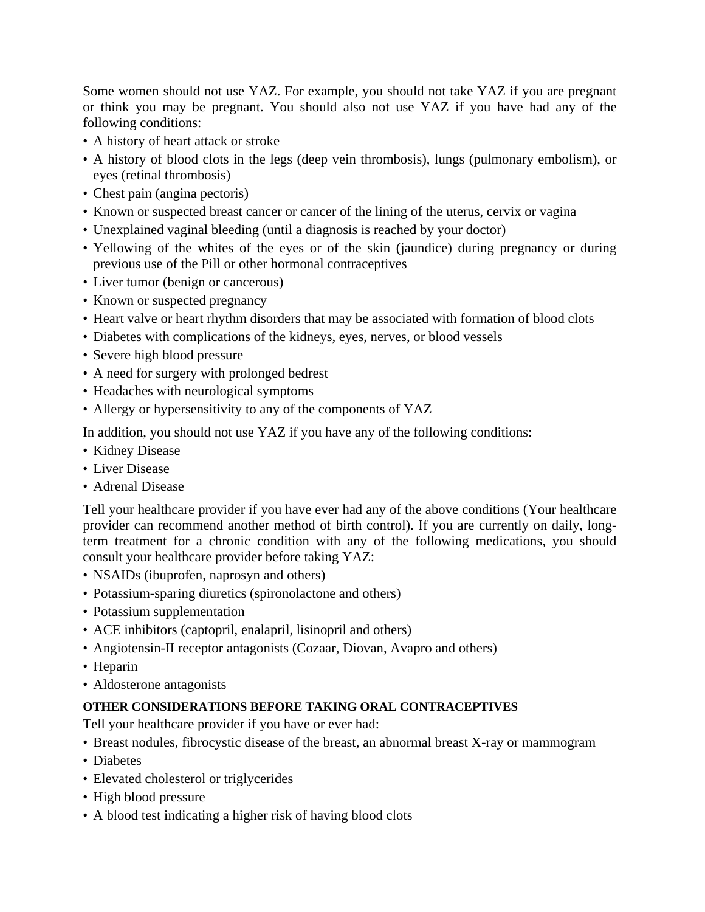Some women should not use YAZ. For example, you should not take YAZ if you are pregnant or think you may be pregnant. You should also not use YAZ if you have had any of the following conditions:

- A history of heart attack or stroke
- A history of blood clots in the legs (deep vein thrombosis), lungs (pulmonary embolism), or eyes (retinal thrombosis)
- Chest pain (angina pectoris)
- Known or suspected breast cancer or cancer of the lining of the uterus, cervix or vagina
- Unexplained vaginal bleeding (until a diagnosis is reached by your doctor)
- Yellowing of the whites of the eyes or of the skin (jaundice) during pregnancy or during previous use of the Pill or other hormonal contraceptives
- Liver tumor (benign or cancerous)
- Known or suspected pregnancy
- Heart valve or heart rhythm disorders that may be associated with formation of blood clots
- Diabetes with complications of the kidneys, eyes, nerves, or blood vessels
- Severe high blood pressure
- A need for surgery with prolonged bedrest
- Headaches with neurological symptoms
- Allergy or hypersensitivity to any of the components of YAZ

In addition, you should not use YAZ if you have any of the following conditions:

- Kidney Disease
- Liver Disease
- Adrenal Disease

Tell your healthcare provider if you have ever had any of the above conditions (Your healthcare provider can recommend another method of birth control). If you are currently on daily, longterm treatment for a chronic condition with any of the following medications, you should consult your healthcare provider before taking YAZ:

- NSAIDs (ibuprofen, naprosyn and others)
- Potassium-sparing diuretics (spironolactone and others)
- Potassium supplementation
- ACE inhibitors (captopril, enalapril, lisinopril and others)
- Angiotensin-II receptor antagonists (Cozaar, Diovan, Avapro and others)
- Heparin
- Aldosterone antagonists

## **OTHER CONSIDERATIONS BEFORE TAKING ORAL CONTRACEPTIVES**

Tell your healthcare provider if you have or ever had:

- Breast nodules, fibrocystic disease of the breast, an abnormal breast X-ray or mammogram
- Diabetes
- Elevated cholesterol or triglycerides
- High blood pressure
- A blood test indicating a higher risk of having blood clots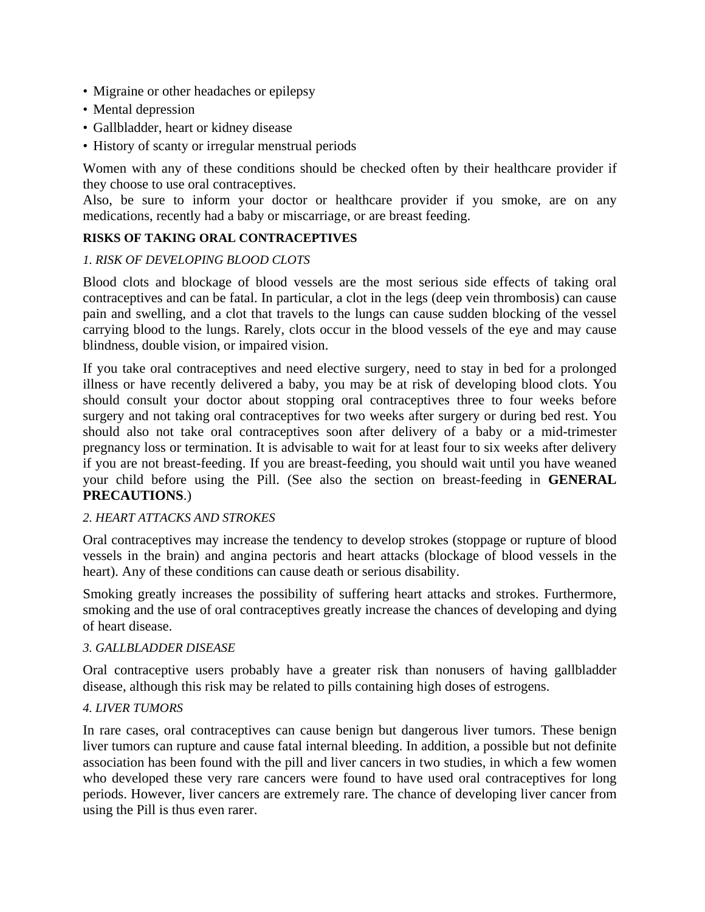- Migraine or other headaches or epilepsy
- Mental depression
- Gallbladder, heart or kidney disease
- History of scanty or irregular menstrual periods

Women with any of these conditions should be checked often by their healthcare provider if they choose to use oral contraceptives.

Also, be sure to inform your doctor or healthcare provider if you smoke, are on any medications, recently had a baby or miscarriage, or are breast feeding.

## **RISKS OF TAKING ORAL CONTRACEPTIVES**

## *1. RISK OF DEVELOPING BLOOD CLOTS*

Blood clots and blockage of blood vessels are the most serious side effects of taking oral contraceptives and can be fatal. In particular, a clot in the legs (deep vein thrombosis) can cause pain and swelling, and a clot that travels to the lungs can cause sudden blocking of the vessel carrying blood to the lungs. Rarely, clots occur in the blood vessels of the eye and may cause blindness, double vision, or impaired vision.

If you take oral contraceptives and need elective surgery, need to stay in bed for a prolonged illness or have recently delivered a baby, you may be at risk of developing blood clots. You should consult your doctor about stopping oral contraceptives three to four weeks before surgery and not taking oral contraceptives for two weeks after surgery or during bed rest. You should also not take oral contraceptives soon after delivery of a baby or a mid-trimester pregnancy loss or termination. It is advisable to wait for at least four to six weeks after delivery if you are not breast-feeding. If you are breast-feeding, you should wait until you have weaned your child before using the Pill. (See also the section on breast-feeding in **GENERAL PRECAUTIONS**.)

## *2. HEART ATTACKS AND STROKES*

Oral contraceptives may increase the tendency to develop strokes (stoppage or rupture of blood vessels in the brain) and angina pectoris and heart attacks (blockage of blood vessels in the heart). Any of these conditions can cause death or serious disability.

Smoking greatly increases the possibility of suffering heart attacks and strokes. Furthermore, smoking and the use of oral contraceptives greatly increase the chances of developing and dying of heart disease.

#### *3. GALLBLADDER DISEASE*

Oral contraceptive users probably have a greater risk than nonusers of having gallbladder disease, although this risk may be related to pills containing high doses of estrogens.

## *4. LIVER TUMORS*

In rare cases, oral contraceptives can cause benign but dangerous liver tumors. These benign liver tumors can rupture and cause fatal internal bleeding. In addition, a possible but not definite association has been found with the pill and liver cancers in two studies, in which a few women who developed these very rare cancers were found to have used oral contraceptives for long periods. However, liver cancers are extremely rare. The chance of developing liver cancer from using the Pill is thus even rarer.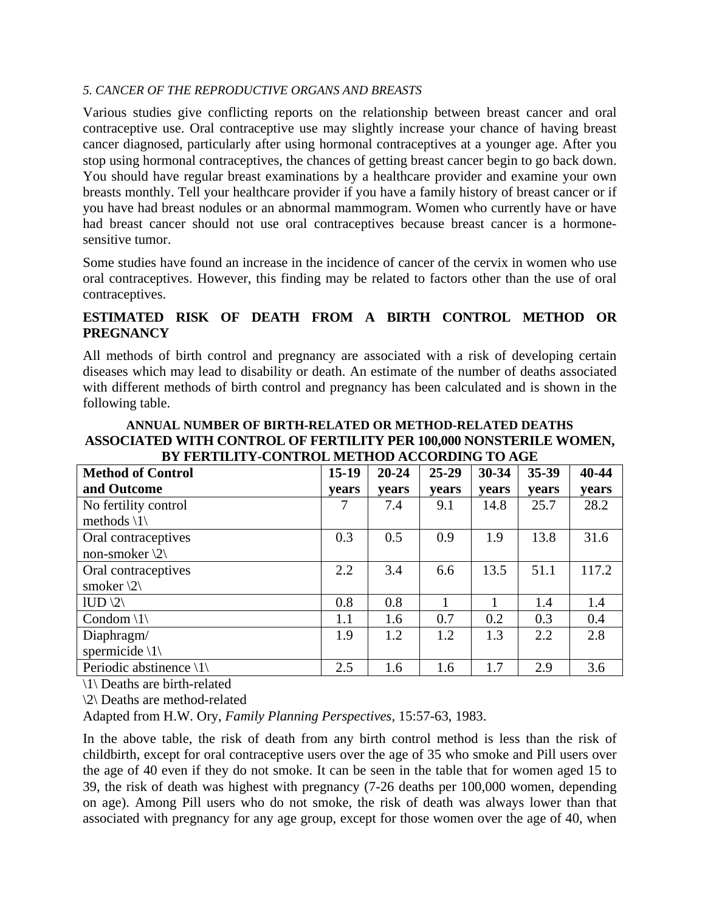### *5. CANCER OF THE REPRODUCTIVE ORGANS AND BREASTS*

Various studies give conflicting reports on the relationship between breast cancer and oral contraceptive use. Oral contraceptive use may slightly increase your chance of having breast cancer diagnosed, particularly after using hormonal contraceptives at a younger age. After you stop using hormonal contraceptives, the chances of getting breast cancer begin to go back down. You should have regular breast examinations by a healthcare provider and examine your own breasts monthly. Tell your healthcare provider if you have a family history of breast cancer or if you have had breast nodules or an abnormal mammogram. Women who currently have or have had breast cancer should not use oral contraceptives because breast cancer is a hormonesensitive tumor.

Some studies have found an increase in the incidence of cancer of the cervix in women who use oral contraceptives. However, this finding may be related to factors other than the use of oral contraceptives.

## **ESTIMATED RISK OF DEATH FROM A BIRTH CONTROL METHOD OR PREGNANCY**

All methods of birth control and pregnancy are associated with a risk of developing certain diseases which may lead to disability or death. An estimate of the number of deaths associated with different methods of birth control and pregnancy has been calculated and is shown in the following table.

| DT FERTIEIT FOONTROE METHOD ACCORDING TO AGE |         |           |           |       |       |       |  |  |
|----------------------------------------------|---------|-----------|-----------|-------|-------|-------|--|--|
| <b>Method of Control</b>                     | $15-19$ | $20 - 24$ | $25 - 29$ | 30-34 | 35-39 | 40-44 |  |  |
| and Outcome                                  | vears   | years     | vears     | vears | years | years |  |  |
| No fertility control                         | 7       | 7.4       | 9.1       | 14.8  | 25.7  | 28.2  |  |  |
| methods $\langle 1 \rangle$                  |         |           |           |       |       |       |  |  |
| Oral contraceptives                          | 0.3     | 0.5       | 0.9       | 1.9   | 13.8  | 31.6  |  |  |
| non-smoker $\langle 2 \rangle$               |         |           |           |       |       |       |  |  |
| Oral contraceptives                          | 2.2     | 3.4       | 6.6       | 13.5  | 51.1  | 117.2 |  |  |
| smoker $\langle 2 \rangle$                   |         |           |           |       |       |       |  |  |
| $1UD \ 2$                                    | 0.8     | 0.8       |           |       | 1.4   | 1.4   |  |  |
| Condom $ 1\rangle$                           | 1.1     | 1.6       | 0.7       | 0.2   | 0.3   | 0.4   |  |  |
| Diaphragm/                                   | 1.9     | 1.2       | 1.2       | 1.3   | 2.2   | 2.8   |  |  |
| spermicide $\langle 1 \rangle$               |         |           |           |       |       |       |  |  |
| Periodic abstinence $\langle 1 \rangle$      | 2.5     | 1.6       | 1.6       | 1.7   | 2.9   | 3.6   |  |  |

#### **ANNUAL NUMBER OF BIRTH-RELATED OR METHOD-RELATED DEATHS ASSOCIATED WITH CONTROL OF FERTILITY PER 100,000 NONSTERILE WOMEN, BY FERTILITY-CONTROL METHOD ACCORDING TO AGE**

\1\ Deaths are birth-related

\2\ Deaths are method-related

Adapted from H.W. Ory, *Family Planning Perspectives,* 15:57-63, 1983.

In the above table, the risk of death from any birth control method is less than the risk of childbirth, except for oral contraceptive users over the age of 35 who smoke and Pill users over the age of 40 even if they do not smoke. It can be seen in the table that for women aged 15 to 39, the risk of death was highest with pregnancy (7-26 deaths per 100,000 women, depending on age). Among Pill users who do not smoke, the risk of death was always lower than that associated with pregnancy for any age group, except for those women over the age of 40, when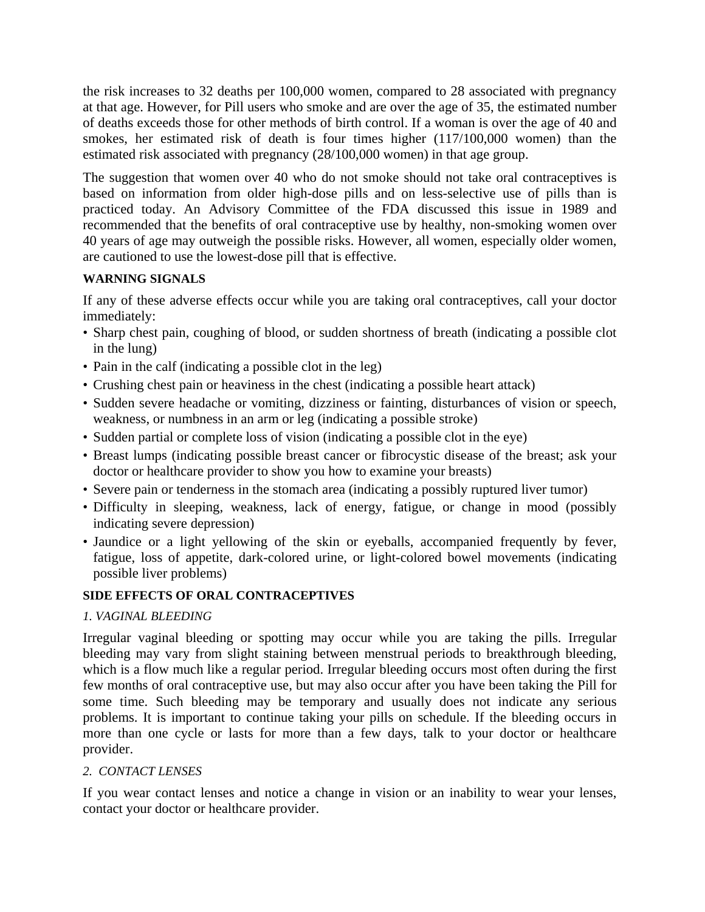the risk increases to 32 deaths per 100,000 women, compared to 28 associated with pregnancy at that age. However, for Pill users who smoke and are over the age of 35, the estimated number of deaths exceeds those for other methods of birth control. If a woman is over the age of 40 and smokes, her estimated risk of death is four times higher (117/100,000 women) than the estimated risk associated with pregnancy (28/100,000 women) in that age group.

The suggestion that women over 40 who do not smoke should not take oral contraceptives is based on information from older high-dose pills and on less-selective use of pills than is practiced today. An Advisory Committee of the FDA discussed this issue in 1989 and recommended that the benefits of oral contraceptive use by healthy, non-smoking women over 40 years of age may outweigh the possible risks. However, all women, especially older women, are cautioned to use the lowest-dose pill that is effective.

## **WARNING SIGNALS**

If any of these adverse effects occur while you are taking oral contraceptives, call your doctor immediately:

- Sharp chest pain, coughing of blood, or sudden shortness of breath (indicating a possible clot in the lung)
- Pain in the calf (indicating a possible clot in the leg)
- Crushing chest pain or heaviness in the chest (indicating a possible heart attack)
- Sudden severe headache or vomiting, dizziness or fainting, disturbances of vision or speech, weakness, or numbness in an arm or leg (indicating a possible stroke)
- Sudden partial or complete loss of vision (indicating a possible clot in the eye)
- Breast lumps (indicating possible breast cancer or fibrocystic disease of the breast; ask your doctor or healthcare provider to show you how to examine your breasts)
- Severe pain or tenderness in the stomach area (indicating a possibly ruptured liver tumor)
- Difficulty in sleeping, weakness, lack of energy, fatigue, or change in mood (possibly indicating severe depression)
- Jaundice or a light yellowing of the skin or eyeballs, accompanied frequently by fever, fatigue, loss of appetite, dark-colored urine, or light-colored bowel movements (indicating possible liver problems)

## **SIDE EFFECTS OF ORAL CONTRACEPTIVES**

## *1. VAGINAL BLEEDING*

Irregular vaginal bleeding or spotting may occur while you are taking the pills. Irregular bleeding may vary from slight staining between menstrual periods to breakthrough bleeding, which is a flow much like a regular period. Irregular bleeding occurs most often during the first few months of oral contraceptive use, but may also occur after you have been taking the Pill for some time. Such bleeding may be temporary and usually does not indicate any serious problems. It is important to continue taking your pills on schedule. If the bleeding occurs in more than one cycle or lasts for more than a few days, talk to your doctor or healthcare provider.

## *2. CONTACT LENSES*

If you wear contact lenses and notice a change in vision or an inability to wear your lenses, contact your doctor or healthcare provider.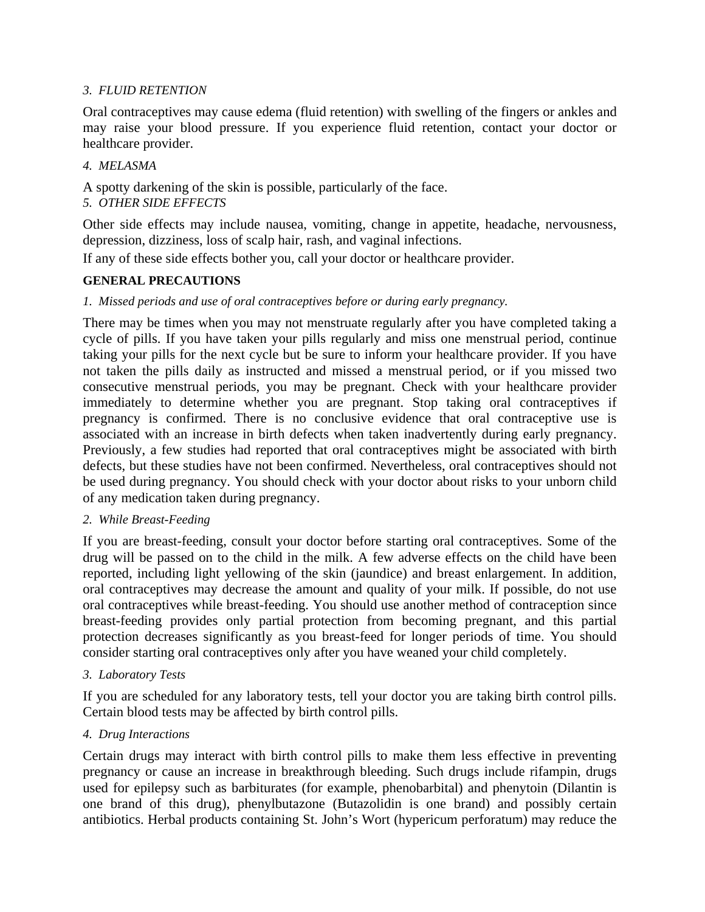## *3. FLUID RETENTION*

Oral contraceptives may cause edema (fluid retention) with swelling of the fingers or ankles and may raise your blood pressure. If you experience fluid retention, contact your doctor or healthcare provider.

### *4. MELASMA*

A spotty darkening of the skin is possible, particularly of the face.

## *5. OTHER SIDE EFFECTS*

Other side effects may include nausea, vomiting, change in appetite, headache, nervousness, depression, dizziness, loss of scalp hair, rash, and vaginal infections.

If any of these side effects bother you, call your doctor or healthcare provider.

## **GENERAL PRECAUTIONS**

## *1. Missed periods and use of oral contraceptives before or during early pregnancy.*

There may be times when you may not menstruate regularly after you have completed taking a cycle of pills. If you have taken your pills regularly and miss one menstrual period, continue taking your pills for the next cycle but be sure to inform your healthcare provider. If you have not taken the pills daily as instructed and missed a menstrual period, or if you missed two consecutive menstrual periods, you may be pregnant. Check with your healthcare provider immediately to determine whether you are pregnant. Stop taking oral contraceptives if pregnancy is confirmed. There is no conclusive evidence that oral contraceptive use is associated with an increase in birth defects when taken inadvertently during early pregnancy. Previously, a few studies had reported that oral contraceptives might be associated with birth defects, but these studies have not been confirmed. Nevertheless, oral contraceptives should not be used during pregnancy. You should check with your doctor about risks to your unborn child of any medication taken during pregnancy.

#### *2. While Breast-Feeding*

If you are breast-feeding, consult your doctor before starting oral contraceptives. Some of the drug will be passed on to the child in the milk. A few adverse effects on the child have been reported, including light yellowing of the skin (jaundice) and breast enlargement. In addition, oral contraceptives may decrease the amount and quality of your milk. If possible, do not use oral contraceptives while breast-feeding. You should use another method of contraception since breast-feeding provides only partial protection from becoming pregnant, and this partial protection decreases significantly as you breast-feed for longer periods of time. You should consider starting oral contraceptives only after you have weaned your child completely.

## *3. Laboratory Tests*

If you are scheduled for any laboratory tests, tell your doctor you are taking birth control pills. Certain blood tests may be affected by birth control pills.

## *4. Drug Interactions*

Certain drugs may interact with birth control pills to make them less effective in preventing pregnancy or cause an increase in breakthrough bleeding. Such drugs include rifampin, drugs used for epilepsy such as barbiturates (for example, phenobarbital) and phenytoin (Dilantin is one brand of this drug), phenylbutazone (Butazolidin is one brand) and possibly certain antibiotics. Herbal products containing St. John's Wort (hypericum perforatum) may reduce the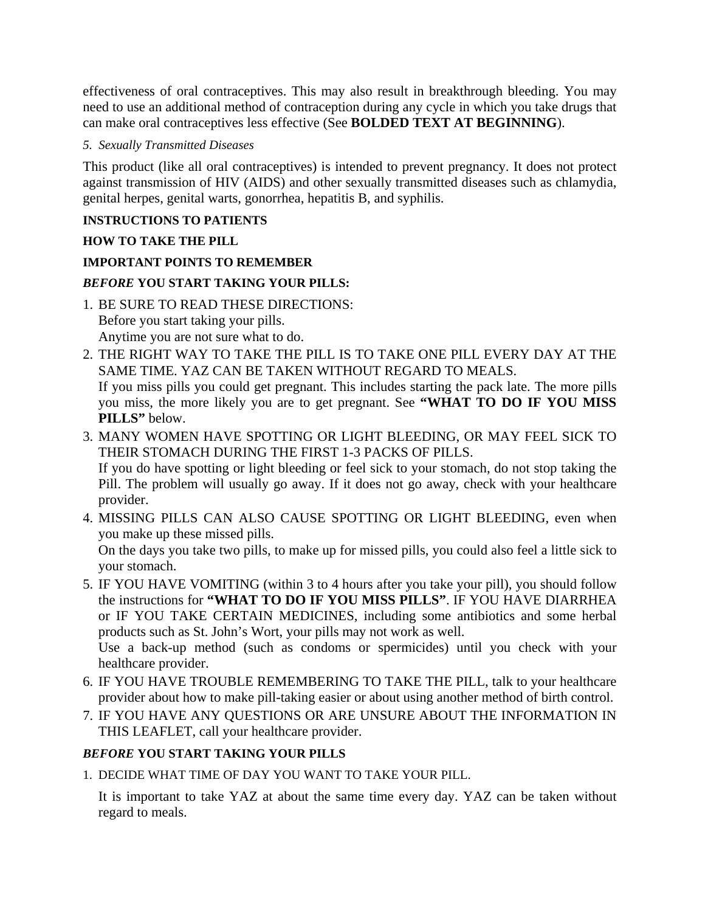effectiveness of oral contraceptives. This may also result in breakthrough bleeding. You may need to use an additional method of contraception during any cycle in which you take drugs that can make oral contraceptives less effective (See **BOLDED TEXT AT BEGINNING**).

## *5. Sexually Transmitted Diseases*

This product (like all oral contraceptives) is intended to prevent pregnancy. It does not protect against transmission of HIV (AIDS) and other sexually transmitted diseases such as chlamydia, genital herpes, genital warts, gonorrhea, hepatitis B, and syphilis.

## **INSTRUCTIONS TO PATIENTS**

## **HOW TO TAKE THE PILL**

## **IMPORTANT POINTS TO REMEMBER**

## *BEFORE* **YOU START TAKING YOUR PILLS:**

- 1. BE SURE TO READ THESE DIRECTIONS: Before you start taking your pills. Anytime you are not sure what to do.
- 2. THE RIGHT WAY TO TAKE THE PILL IS TO TAKE ONE PILL EVERY DAY AT THE SAME TIME. YAZ CAN BE TAKEN WITHOUT REGARD TO MEALS. If you miss pills you could get pregnant. This includes starting the pack late. The more pills you miss, the more likely you are to get pregnant. See **"WHAT TO DO IF YOU MISS PILLS"** below.
- 3. MANY WOMEN HAVE SPOTTING OR LIGHT BLEEDING, OR MAY FEEL SICK TO THEIR STOMACH DURING THE FIRST 1-3 PACKS OF PILLS. If you do have spotting or light bleeding or feel sick to your stomach, do not stop taking the Pill. The problem will usually go away. If it does not go away, check with your healthcare provider.
- 4. MISSING PILLS CAN ALSO CAUSE SPOTTING OR LIGHT BLEEDING, even when you make up these missed pills.

On the days you take two pills, to make up for missed pills, you could also feel a little sick to your stomach.

5. IF YOU HAVE VOMITING (within 3 to 4 hours after you take your pill), you should follow the instructions for **"WHAT TO DO IF YOU MISS PILLS"**. IF YOU HAVE DIARRHEA or IF YOU TAKE CERTAIN MEDICINES, including some antibiotics and some herbal products such as St. John's Wort, your pills may not work as well.

Use a back-up method (such as condoms or spermicides) until you check with your healthcare provider.

- 6. IF YOU HAVE TROUBLE REMEMBERING TO TAKE THE PILL, talk to your healthcare provider about how to make pill-taking easier or about using another method of birth control.
- 7. IF YOU HAVE ANY QUESTIONS OR ARE UNSURE ABOUT THE INFORMATION IN THIS LEAFLET, call your healthcare provider.

## *BEFORE* **YOU START TAKING YOUR PILLS**

1. DECIDE WHAT TIME OF DAY YOU WANT TO TAKE YOUR PILL.

It is important to take YAZ at about the same time every day. YAZ can be taken without regard to meals.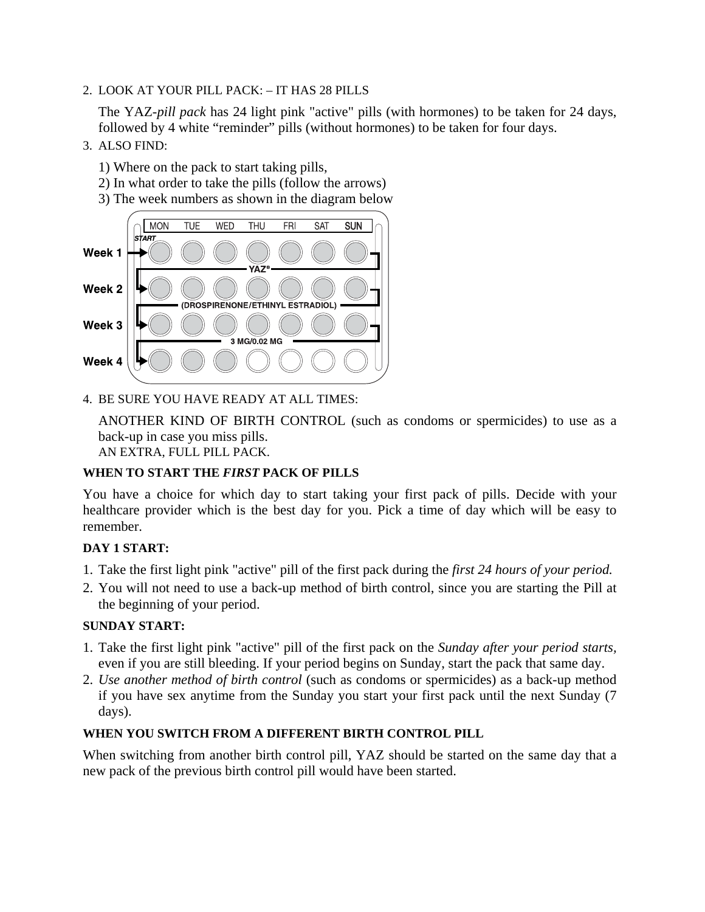2. LOOK AT YOUR PILL PACK: – IT HAS 28 PILLS

 The YAZ-*pill pack* has 24 light pink "active" pills (with hormones) to be taken for 24 days, followed by 4 white "reminder" pills (without hormones) to be taken for four days.

- 3. ALSO FIND:
	- 1) Where on the pack to start taking pills,
	- 2) In what order to take the pills (follow the arrows)
	- 3) The week numbers as shown in the diagram below



4. BE SURE YOU HAVE READY AT ALL TIMES:

ANOTHER KIND OF BIRTH CONTROL (such as condoms or spermicides) to use as a back-up in case you miss pills.

AN EXTRA, FULL PILL PACK.

## **WHEN TO START THE** *FIRST* **PACK OF PILLS**

You have a choice for which day to start taking your first pack of pills. Decide with your healthcare provider which is the best day for you. Pick a time of day which will be easy to remember.

## **DAY 1 START:**

- 1. Take the first light pink "active" pill of the first pack during the *first 24 hours of your period.*
- 2. You will not need to use a back-up method of birth control, since you are starting the Pill at the beginning of your period.

## **SUNDAY START:**

- 1. Take the first light pink "active" pill of the first pack on the *Sunday after your period starts,*  even if you are still bleeding. If your period begins on Sunday, start the pack that same day.
- 2. *Use another method of birth control* (such as condoms or spermicides) as a back-up method if you have sex anytime from the Sunday you start your first pack until the next Sunday (7 days).

## **WHEN YOU SWITCH FROM A DIFFERENT BIRTH CONTROL PILL**

When switching from another birth control pill, YAZ should be started on the same day that a new pack of the previous birth control pill would have been started.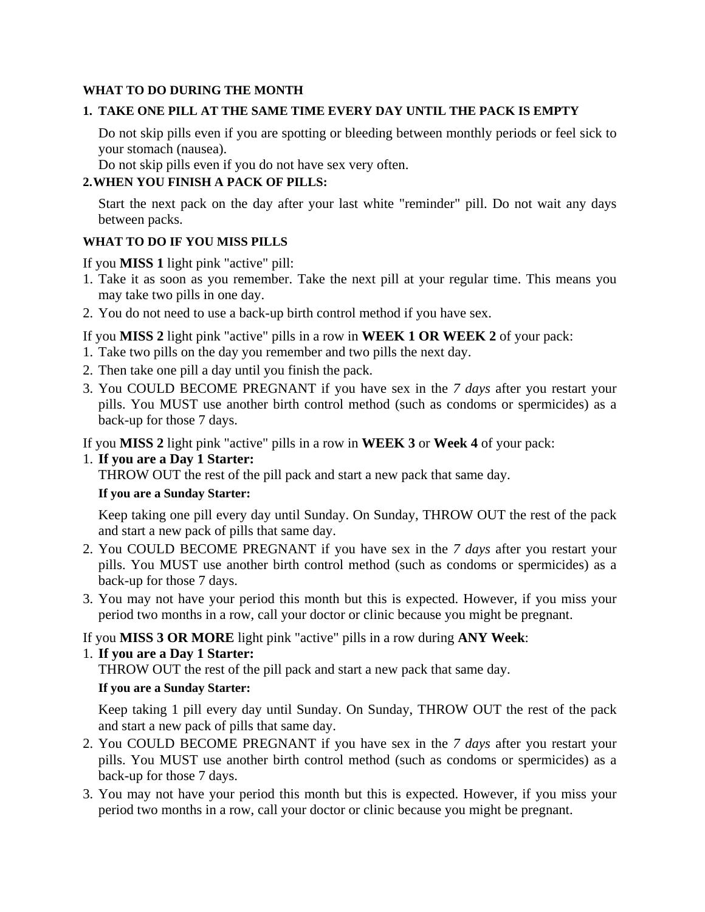#### **WHAT TO DO DURING THE MONTH**

## **1. TAKE ONE PILL AT THE SAME TIME EVERY DAY UNTIL THE PACK IS EMPTY**

Do not skip pills even if you are spotting or bleeding between monthly periods or feel sick to your stomach (nausea).

Do not skip pills even if you do not have sex very often.

## **2.WHEN YOU FINISH A PACK OF PILLS:**

Start the next pack on the day after your last white "reminder" pill. Do not wait any days between packs.

## **WHAT TO DO IF YOU MISS PILLS**

If you **MISS 1** light pink "active" pill:

- 1. Take it as soon as you remember. Take the next pill at your regular time. This means you may take two pills in one day.
- 2. You do not need to use a back-up birth control method if you have sex.

If you **MISS 2** light pink "active" pills in a row in **WEEK 1 OR WEEK 2** of your pack:

- 1. Take two pills on the day you remember and two pills the next day.
- 2. Then take one pill a day until you finish the pack.
- 3. You COULD BECOME PREGNANT if you have sex in the *7 days* after you restart your pills. You MUST use another birth control method (such as condoms or spermicides) as a back-up for those 7 days.

If you **MISS 2** light pink "active" pills in a row in **WEEK 3** or **Week 4** of your pack:

## 1. **If you are a Day 1 Starter:**

THROW OUT the rest of the pill pack and start a new pack that same day.

## **If you are a Sunday Starter:**

Keep taking one pill every day until Sunday. On Sunday, THROW OUT the rest of the pack and start a new pack of pills that same day.

- 2. You COULD BECOME PREGNANT if you have sex in the *7 days* after you restart your pills. You MUST use another birth control method (such as condoms or spermicides) as a back-up for those 7 days.
- 3. You may not have your period this month but this is expected. However, if you miss your period two months in a row, call your doctor or clinic because you might be pregnant.

If you **MISS 3 OR MORE** light pink "active" pills in a row during **ANY Week**:

## 1. **If you are a Day 1 Starter:**

THROW OUT the rest of the pill pack and start a new pack that same day.

## **If you are a Sunday Starter:**

Keep taking 1 pill every day until Sunday. On Sunday, THROW OUT the rest of the pack and start a new pack of pills that same day.

- 2. You COULD BECOME PREGNANT if you have sex in the *7 days* after you restart your pills. You MUST use another birth control method (such as condoms or spermicides) as a back-up for those 7 days.
- 3. You may not have your period this month but this is expected. However, if you miss your period two months in a row, call your doctor or clinic because you might be pregnant.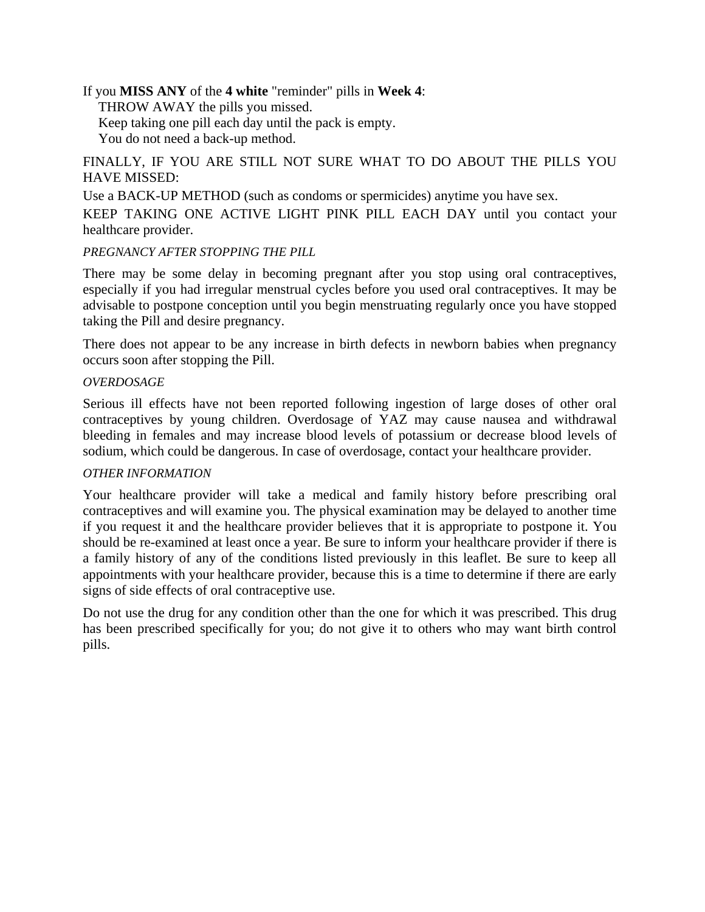If you **MISS ANY** of the **4 white** "reminder" pills in **Week 4**: THROW AWAY the pills you missed. Keep taking one pill each day until the pack is empty. You do not need a back-up method.

## FINALLY, IF YOU ARE STILL NOT SURE WHAT TO DO ABOUT THE PILLS YOU HAVE MISSED:

Use a BACK-UP METHOD (such as condoms or spermicides) anytime you have sex.

KEEP TAKING ONE ACTIVE LIGHT PINK PILL EACH DAY until you contact your healthcare provider.

## *PREGNANCY AFTER STOPPING THE PILL*

There may be some delay in becoming pregnant after you stop using oral contraceptives, especially if you had irregular menstrual cycles before you used oral contraceptives. It may be advisable to postpone conception until you begin menstruating regularly once you have stopped taking the Pill and desire pregnancy.

There does not appear to be any increase in birth defects in newborn babies when pregnancy occurs soon after stopping the Pill.

## *OVERDOSAGE*

Serious ill effects have not been reported following ingestion of large doses of other oral contraceptives by young children. Overdosage of YAZ may cause nausea and withdrawal bleeding in females and may increase blood levels of potassium or decrease blood levels of sodium, which could be dangerous. In case of overdosage, contact your healthcare provider.

## *OTHER INFORMATION*

Your healthcare provider will take a medical and family history before prescribing oral contraceptives and will examine you. The physical examination may be delayed to another time if you request it and the healthcare provider believes that it is appropriate to postpone it. You should be re-examined at least once a year. Be sure to inform your healthcare provider if there is a family history of any of the conditions listed previously in this leaflet. Be sure to keep all appointments with your healthcare provider, because this is a time to determine if there are early signs of side effects of oral contraceptive use.

Do not use the drug for any condition other than the one for which it was prescribed. This drug has been prescribed specifically for you; do not give it to others who may want birth control pills.